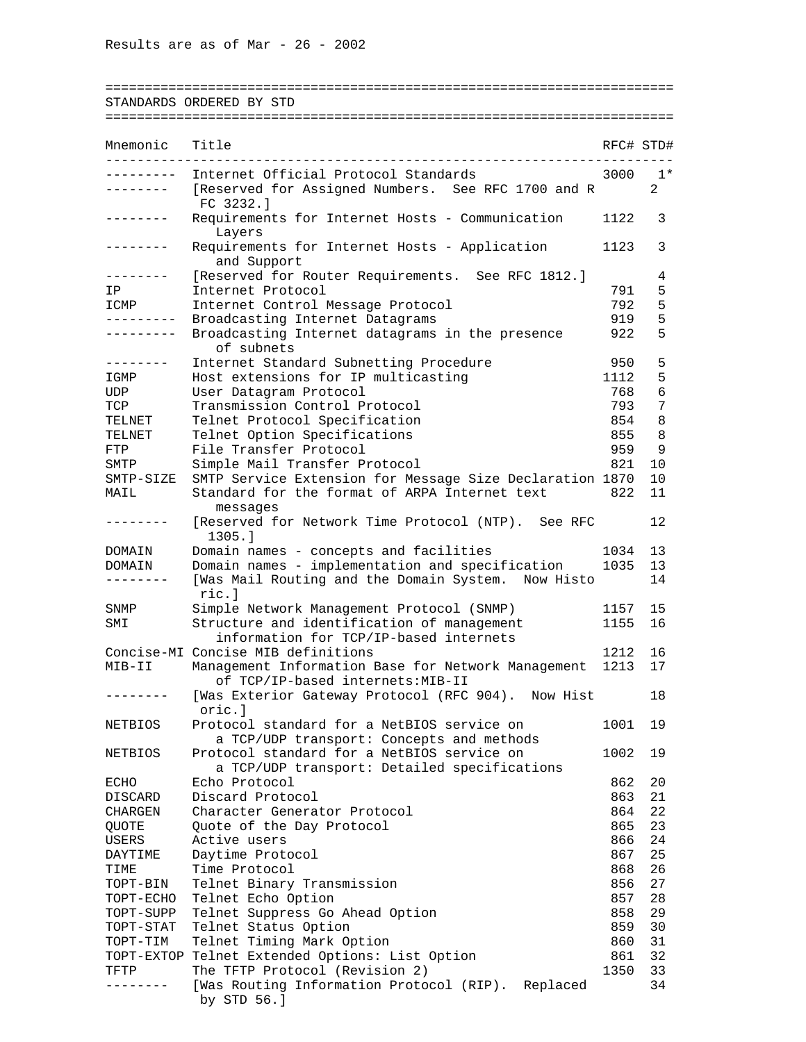========================================================================

## STANDARDS ORDERED BY STD ========================================================================

| Mnemonic                | Title                                                                                            |            | RFC# STD# |
|-------------------------|--------------------------------------------------------------------------------------------------|------------|-----------|
|                         | Internet Official Protocol Standards                                                             | 3000       | $1*$      |
| . _ _ _ _ _ _ _         | [Reserved for Assigned Numbers. See RFC 1700 and R<br>FC 3232.1                                  |            | 2         |
|                         | Requirements for Internet Hosts - Communication<br>Layers                                        | 1122       | 3         |
|                         | Requirements for Internet Hosts - Application<br>and Support                                     | 1123       | 3         |
| $- - - - - - -$         | [Reserved for Router Requirements. See RFC 1812.]                                                |            | 4         |
| IP                      | Internet Protocol                                                                                | 791        | 5         |
| ICMP                    | Internet Control Message Protocol                                                                | 792        | 5         |
| ---------<br>. <u>.</u> | Broadcasting Internet Datagrams<br>Broadcasting Internet datagrams in the presence<br>of subnets | 919<br>922 | 5<br>5    |
| --------                | Internet Standard Subnetting Procedure                                                           | 950        | 5         |
| IGMP                    | Host extensions for IP multicasting                                                              | 1112       | 5         |
| UDP                     | User Datagram Protocol                                                                           | 768        | 6         |
| TCP                     | Transmission Control Protocol                                                                    | 793        | 7         |
| TELNET                  | Telnet Protocol Specification                                                                    | 854        | 8         |
| TELNET                  | Telnet Option Specifications                                                                     | 855        | 8         |
| FTP                     | File Transfer Protocol                                                                           | 959        | 9         |
| SMTP                    | Simple Mail Transfer Protocol                                                                    | 821        | 10        |
| SMTP-SIZE               | SMTP Service Extension for Message Size Declaration 1870                                         |            | 10        |
| MAIL                    | Standard for the format of ARPA Internet text                                                    | 822        | 11        |
|                         | messages                                                                                         |            |           |
|                         | [Reserved for Network Time Protocol (NTP). See RFC<br>1305.1                                     |            | 12        |
| DOMAIN                  | Domain names - concepts and facilities                                                           | 1034       | 13        |
| DOMAIN                  | Domain names - implementation and specification                                                  | 1035       | 13        |
|                         | [Was Mail Routing and the Domain System. Now Histo<br>ric.l                                      |            | 14        |
| SNMP                    | Simple Network Management Protocol (SNMP)                                                        | 1157       | 15        |
| SMI                     | Structure and identification of management<br>information for TCP/IP-based internets             | 1155       | 16        |
|                         | Concise-MI Concise MIB definitions                                                               | 1212       | 16        |
| MIB-II                  | Management Information Base for Network Management<br>of TCP/IP-based internets: MIB-II          | 1213       | 17        |
|                         | [Was Exterior Gateway Protocol (RFC 904).<br>Now Hist<br>oric.]                                  |            | 18        |
| NETBIOS                 | Protocol standard for a NetBIOS service on                                                       | 1001       | 19        |
| NETBIOS                 | a TCP/UDP transport: Concepts and methods<br>Protocol standard for a NetBIOS service on          | 1002       | 19        |
|                         | a TCP/UDP transport: Detailed specifications                                                     |            |           |
| ECHO                    | Echo Protocol                                                                                    | 862        | 20        |
| DISCARD                 | Discard Protocol                                                                                 | 863        | 21        |
| CHARGEN                 | Character Generator Protocol                                                                     | 864        | 22        |
| <b>QUOTE</b>            | Quote of the Day Protocol                                                                        | 865        | 23        |
| USERS                   | Active users                                                                                     | 866        | 24        |
| DAYTIME                 | Daytime Protocol                                                                                 | 867        | 25        |
| TIME                    | Time Protocol                                                                                    | 868        | 26        |
| TOPT-BIN                | Telnet Binary Transmission                                                                       | 856        | 27        |
| TOPT-ECHO               | Telnet Echo Option                                                                               | 857        | 28        |
| TOPT-SUPP               | Telnet Suppress Go Ahead Option                                                                  | 858        | 29        |
| TOPT-STAT               | Telnet Status Option                                                                             | 859        | 30        |
| TOPT-TIM                | Telnet Timing Mark Option                                                                        | 860        | 31        |
| TOPT-EXTOP              | Telnet Extended Options: List Option                                                             | 861        | 32        |
| TFTP                    | The TFTP Protocol (Revision 2)                                                                   | 1350       | 33        |
|                         | [Was Routing Information Protocol (RIP). Replaced<br>by STD 56.]                                 |            | 34        |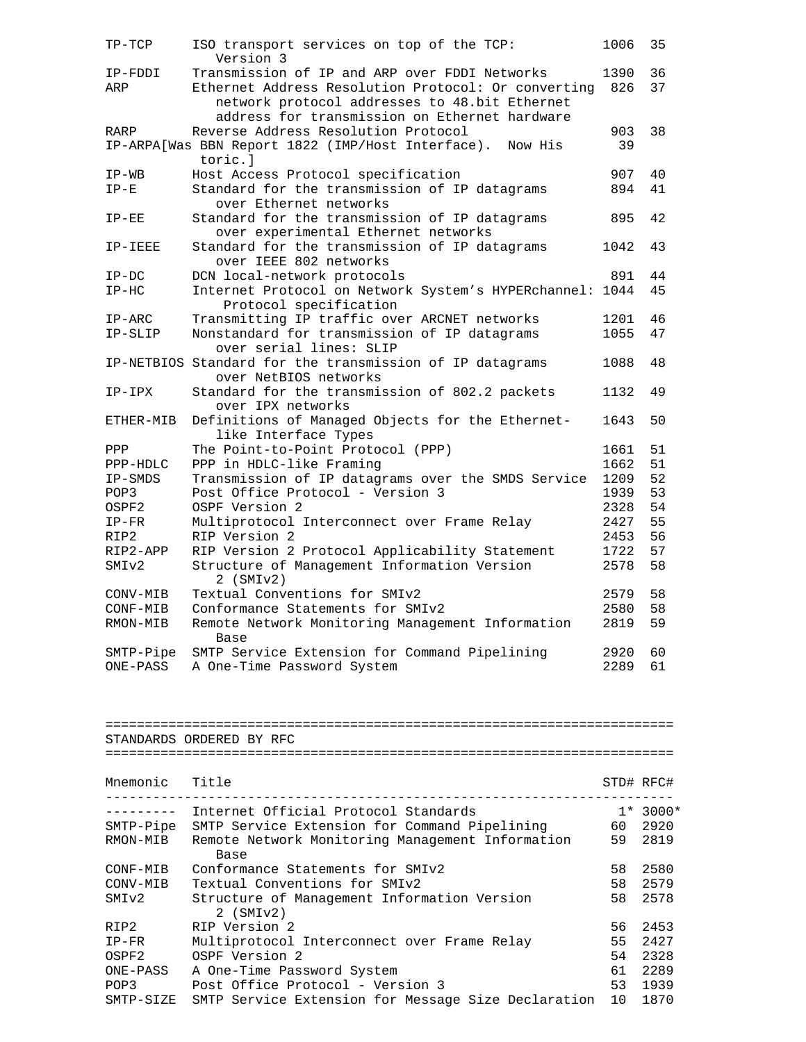| $TP-TCP$                      | ISO transport services on top of the TCP:<br>Version 3                                               | 1006         | 35         |
|-------------------------------|------------------------------------------------------------------------------------------------------|--------------|------------|
| IP-FDDI<br>ARP                | Transmission of IP and ARP over FDDI Networks<br>Ethernet Address Resolution Protocol: Or converting | 1390<br>826  | 36<br>37   |
|                               | network protocol addresses to 48.bit Ethernet<br>address for transmission on Ethernet hardware       |              |            |
| RARP                          | Reverse Address Resolution Protocol<br>IP-ARPA[Was BBN Report 1822 (IMP/Host Interface). Now His     | 903<br>39    | 38         |
| $IP-WB$                       | toric.l<br>Host Access Protocol specification                                                        | 907          | 40         |
| $IP-E$                        | Standard for the transmission of IP datagrams<br>over Ethernet networks                              | 894          | 41         |
| $IP-EE$                       | Standard for the transmission of IP datagrams<br>over experimental Ethernet networks                 | 895          | 42         |
| IP-IEEE                       | Standard for the transmission of IP datagrams<br>over IEEE 802 networks                              | 1042         | 43         |
| $IP-DC$                       | DCN local-network protocols                                                                          | 891          | 44         |
| $IP-HC$                       | Internet Protocol on Network System's HYPERchannel: 1044<br>Protocol specification                   |              | 45         |
| $IP-ARC$                      | Transmitting IP traffic over ARCNET networks                                                         | 1201         | 46         |
| IP-SLIP                       | Nonstandard for transmission of IP datagrams<br>over serial lines: SLIP                              | 1055         | 47         |
|                               | IP-NETBIOS Standard for the transmission of IP datagrams<br>over NetBIOS networks                    | 1088         | 48         |
| IP-IPX                        | Standard for the transmission of 802.2 packets<br>over IPX networks                                  | 1132         | 49         |
| ETHER-MIB                     | Definitions of Managed Objects for the Ethernet-<br>like Interface Types                             | 1643         | 50         |
| PPP                           | The Point-to-Point Protocol (PPP)                                                                    | 1661         | 51         |
| PPP-HDLC                      | PPP in HDLC-like Framing                                                                             | 1662         | 51         |
| IP-SMDS                       | Transmission of IP datagrams over the SMDS Service                                                   | 1209         | 52         |
| POP3                          | Post Office Protocol - Version 3                                                                     | 1939         | 53         |
| OSPF2                         | OSPF Version 2                                                                                       | 2328         | 54         |
| $IP-FR$                       | Multiprotocol Interconnect over Frame Relay                                                          | 2427         | 55         |
| RIP2                          | RIP Version 2                                                                                        | 2453         | 56         |
| RIP2-APP<br>SMI <sub>v2</sub> | RIP Version 2 Protocol Applicability Statement<br>Structure of Management Information Version        | 1722<br>2578 | 57<br>58   |
| CONV-MIB                      | $2$ (SMIv2)<br>Textual Conventions for SMIv2                                                         | 2579         | 58         |
| CONF-MIB                      | Conformance Statements for SMIv2                                                                     | 2580         | 58         |
| RMON-MIB                      | Remote Network Monitoring Management Information<br>Base                                             | 2819         | 59         |
|                               | SMTP-Pipe SMTP Service Extension for Command Pipelining                                              | 2920         | 60         |
|                               | ONE-PASS A One-Time Password System                                                                  | 2289         | 61         |
|                               | STANDARDS ORDERED BY RFC                                                                             |              |            |
|                               |                                                                                                      |              |            |
| Mnemonic                      | Title<br>----------------------------------                                                          |              | STD# RFC#  |
|                               | --------  Internet Official Protocol Standards                                                       |              | $1* 3000*$ |
|                               | SMTP-Pipe SMTP Service Extension for Command Pipelining                                              | 60 -         | 2920       |
| RMON-MIB                      | Remote Network Monitoring Management Information<br>Base                                             | 59           | 2819       |
| CONF-MIB                      | Conformance Statements for SMIv2                                                                     | 58           | 2580       |
| CONV-MIB                      | Textual Conventions for SMIv2                                                                        | 58           | 2579       |
| SMIv2                         | Structure of Management Information Version<br>$2$ (SMI $v2$ )                                       | 58           | 2578       |
| RIP2                          | RIP Version 2                                                                                        | 56           | 2453       |
| $IP-FR$                       | Multiprotocol Interconnect over Frame Relay                                                          | 55           | 2427       |
| OSPF2                         | OSPF Version 2                                                                                       | 54           | 2328       |
| ONE-PASS                      | A One-Time Password System                                                                           | 61           | 2289       |

POP3 Post Office Protocol - Version 3 53 1939 SMTP-SIZE SMTP Service Extension for Message Size Declaration 10 1870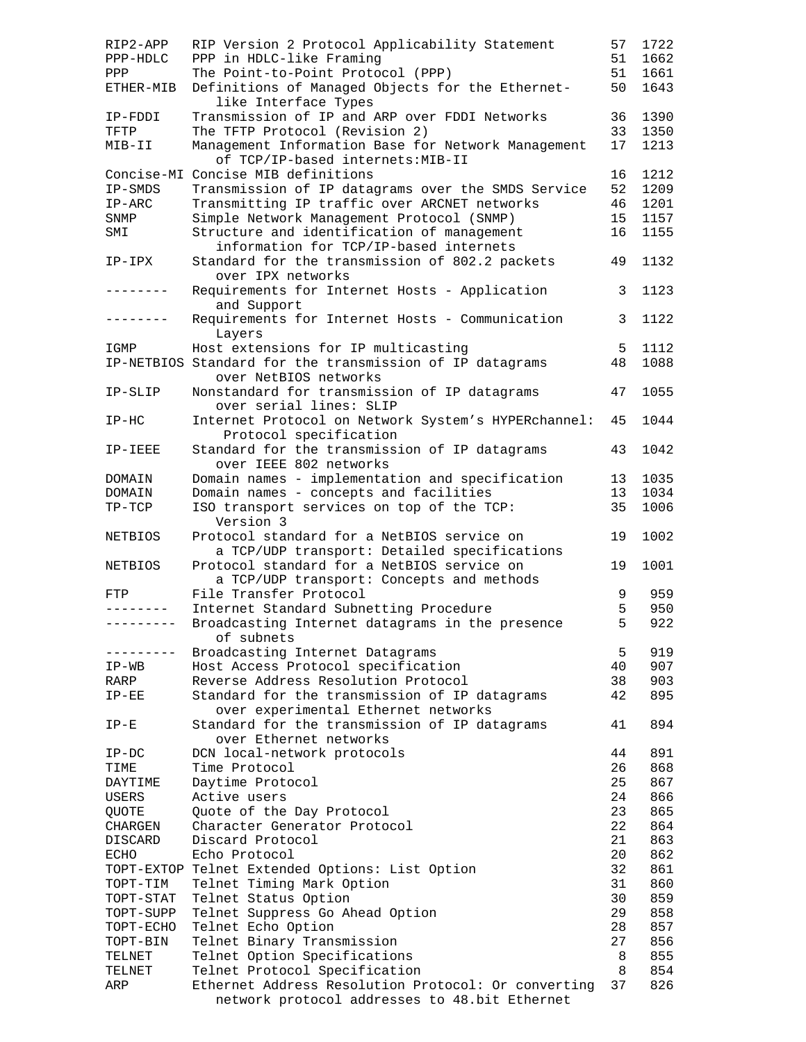| RIP2-APP       | RIP Version 2 Protocol Applicability Statement                                             | 57      | 1722       |
|----------------|--------------------------------------------------------------------------------------------|---------|------------|
| PPP-HDLC       | PPP in HDLC-like Framing                                                                   | 51      | 1662       |
| PPP            | The Point-to-Point Protocol (PPP)                                                          | 51      | 1661       |
| ETHER-MIB      | Definitions of Managed Objects for the Ethernet-<br>like Interface Types                   | 50      | 1643       |
| IP-FDDI        | Transmission of IP and ARP over FDDI Networks                                              | 36      | 1390       |
| TFTP           | The TFTP Protocol (Revision 2)                                                             | 33      | 1350       |
| $MIB-II$       | Management Information Base for Network Management<br>of TCP/IP-based internets: MIB-II    | 17      | 1213       |
|                | Concise-MI Concise MIB definitions                                                         | 16      | 1212       |
| IP-SMDS        | Transmission of IP datagrams over the SMDS Service                                         | 52      | 1209       |
| $IP-ARC$       | Transmitting IP traffic over ARCNET networks                                               | 46      | 1201       |
| SNMP           | Simple Network Management Protocol (SNMP)                                                  | 15      | 1157       |
| SMI            | Structure and identification of management                                                 | 16      | 1155       |
|                | information for TCP/IP-based internets                                                     |         |            |
| $IP-IPX$       | Standard for the transmission of 802.2 packets<br>over IPX networks                        | 49      | 1132       |
| -------        | Requirements for Internet Hosts - Application<br>and Support                               | 3       | 1123       |
|                | Requirements for Internet Hosts - Communication<br>Layers                                  | 3       | 1122       |
| IGMP           | Host extensions for IP multicasting                                                        | 5       | 1112       |
|                | IP-NETBIOS Standard for the transmission of IP datagrams<br>over NetBIOS networks          | 48      | 1088       |
| IP-SLIP        | Nonstandard for transmission of IP datagrams<br>over serial lines: SLIP                    | 47      | 1055       |
| $IP-HC$        | Internet Protocol on Network System's HYPERchannel:<br>Protocol specification              | 45      | 1044       |
| IP-IEEE        | Standard for the transmission of IP datagrams<br>over IEEE 802 networks                    | 43      | 1042       |
| DOMAIN         | Domain names - implementation and specification                                            | 13      | 1035       |
| DOMAIN         | Domain names - concepts and facilities                                                     | 13      | 1034       |
| $TP-TCP$       | ISO transport services on top of the TCP:<br>Version 3                                     | 35      | 1006       |
| <b>NETBIOS</b> | Protocol standard for a NetBIOS service on<br>a TCP/UDP transport: Detailed specifications | 19      | 1002       |
| NETBIOS        | Protocol standard for a NetBIOS service on<br>a TCP/UDP transport: Concepts and methods    | 19      | 1001       |
| FTP            | File Transfer Protocol                                                                     | 9       | 959        |
| --------       | Internet Standard Subnetting Procedure                                                     | 5       | 950        |
| ----------     | Broadcasting Internet datagrams in the presence<br>of subnets                              | 5       | 922        |
|                | Broadcasting Internet Datagrams                                                            | 5       | 919        |
| $IP-WB$        | Host Access Protocol specification                                                         | 40      | 907        |
| RARP           | Reverse Address Resolution Protocol                                                        |         | 903        |
| $IP-EE$        |                                                                                            | 38      |            |
|                | Standard for the transmission of IP datagrams<br>over experimental Ethernet networks       | 42      | 895        |
| $IP-E$         | Standard for the transmission of IP datagrams<br>over Ethernet networks                    | 41      | 894        |
| $IP-DC$        | DCN local-network protocols                                                                | 44      | 891        |
| TIME           | Time Protocol                                                                              | 26      | 868        |
| DAYTIME        | Daytime Protocol                                                                           | 25      | 867        |
| USERS          | Active users                                                                               | 24      | 866        |
| QUOTE          | Quote of the Day Protocol                                                                  | 23      | 865        |
| CHARGEN        | Character Generator Protocol                                                               | 22      | 864        |
| DISCARD        | Discard Protocol                                                                           | 21      | 863        |
| ECHO           | Echo Protocol                                                                              | 20      | 862        |
|                | TOPT-EXTOP Telnet Extended Options: List Option                                            | 32      | 861        |
| TOPT-TIM       | Telnet Timing Mark Option                                                                  | 31      | 860        |
| TOPT-STAT      | Telnet Status Option                                                                       | 30      | 859        |
| TOPT-SUPP      | Telnet Suppress Go Ahead Option                                                            | 29      | 858        |
| TOPT-ECHO      | Telnet Echo Option                                                                         | 28      | 857        |
| TOPT-BIN       | Telnet Binary Transmission                                                                 | 27      | 856        |
| TELNET         | Telnet Option Specifications                                                               | 8       | 855        |
| TELNET<br>ARP  | Telnet Protocol Specification<br>Ethernet Address Resolution Protocol: Or converting       | 8<br>37 | 854<br>826 |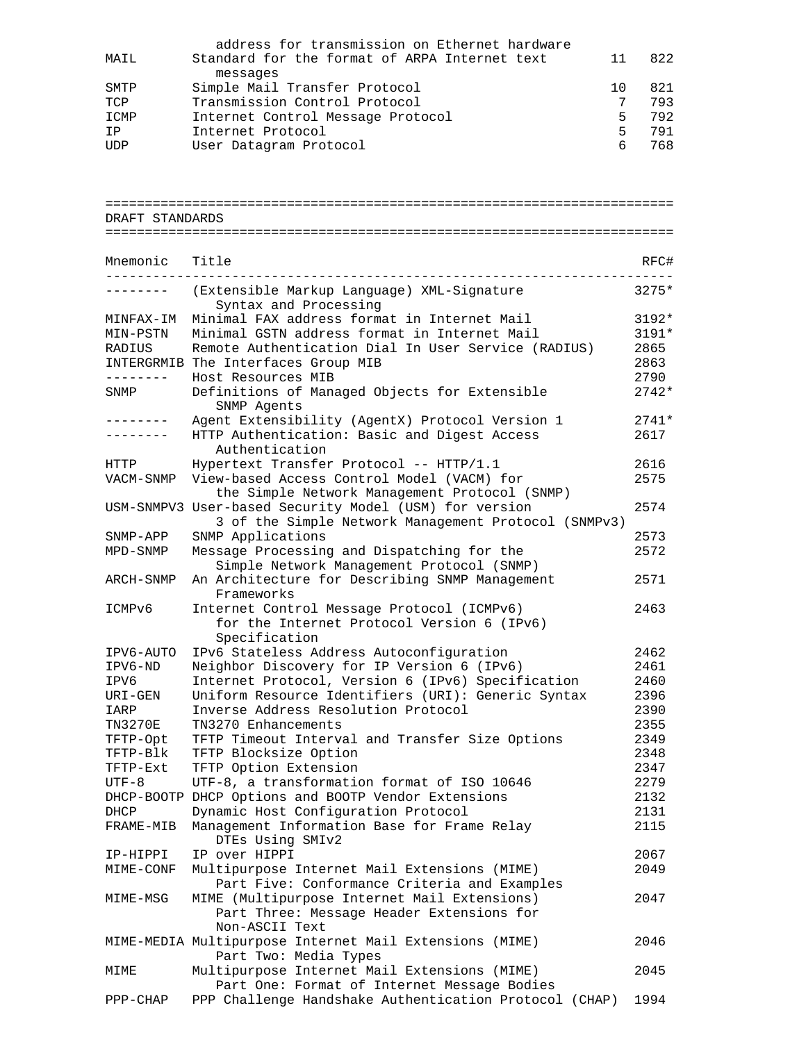|      | address for transmission on Ethernet hardware |     |     |
|------|-----------------------------------------------|-----|-----|
| MAIL | Standard for the format of ARPA Internet text | 11  | 822 |
|      | messages                                      |     |     |
| SMTP | Simple Mail Transfer Protocol                 | 1 O | 821 |
| TCP  | Transmission Control Protocol                 |     | 793 |
| ICMP | Internet Control Message Protocol             | 5.  | 792 |
| ΙP   | Internet Protocol                             | 5.  | 791 |
| UDP  | User Datagram Protocol                        |     | 768 |

|                 | =============================                                                                                  |              |
|-----------------|----------------------------------------------------------------------------------------------------------------|--------------|
| DRAFT STANDARDS |                                                                                                                |              |
|                 |                                                                                                                |              |
|                 |                                                                                                                |              |
| Mnemonic        | Title                                                                                                          | RFC#         |
|                 | (Extensible Markup Language) XML-Signature<br>Syntax and Processing                                            | $3275*$      |
| MINFAX-IM       | Minimal FAX address format in Internet Mail                                                                    | $3192*$      |
| MIN-PSTN        | Minimal GSTN address format in Internet Mail                                                                   | 3191*        |
| RADIUS          | Remote Authentication Dial In User Service (RADIUS)                                                            | 2865         |
|                 | INTERGRMIB The Interfaces Group MIB                                                                            | 2863         |
| -------         | Host Resources MIB                                                                                             | 2790         |
| SNMP            | Definitions of Managed Objects for Extensible<br>SNMP Agents                                                   | $2742*$      |
| --------        | Agent Extensibility (AgentX) Protocol Version 1                                                                | $2741*$      |
| .               | HTTP Authentication: Basic and Digest Access<br>Authentication                                                 | 2617         |
| HTTP            | Hypertext Transfer Protocol -- HTTP/1.1                                                                        | 2616         |
| VACM-SNMP       | View-based Access Control Model (VACM) for<br>the Simple Network Management Protocol (SNMP)                    | 2575         |
|                 | USM-SNMPV3 User-based Security Model (USM) for version<br>3 of the Simple Network Management Protocol (SNMPv3) | 2574         |
| SNMP-APP        | SNMP Applications                                                                                              | 2573         |
| MPD-SNMP        | Message Processing and Dispatching for the<br>Simple Network Management Protocol (SNMP)                        | 2572         |
| ARCH-SNMP       | An Architecture for Describing SNMP Management<br>Frameworks                                                   | 2571         |
| ICMPv6          | Internet Control Message Protocol (ICMPv6)<br>for the Internet Protocol Version 6 (IPv6)                       | 2463         |
|                 | Specification                                                                                                  |              |
| IPV6-AUTO       | IPv6 Stateless Address Autoconfiguration                                                                       | 2462<br>2461 |
| IPV6-ND         | Neighbor Discovery for IP Version 6 (IPv6)                                                                     | 2460         |
| IPV6            | Internet Protocol, Version 6 (IPv6) Specification                                                              |              |
| URI-GEN<br>IARP | Uniform Resource Identifiers (URI): Generic Syntax<br>Inverse Address Resolution Protocol                      | 2396<br>2390 |
| <b>TN3270E</b>  | TN3270 Enhancements                                                                                            | 2355         |
| TFTP-Opt        | TFTP Timeout Interval and Transfer Size Options                                                                | 2349         |
| TFTP-Blk        | TFTP Blocksize Option                                                                                          | 2348         |
| TFTP-Ext        | TFTP Option Extension                                                                                          | 2347         |
| $UTF-8$         | UTF-8, a transformation format of ISO 10646                                                                    | 2279         |
|                 | DHCP-BOOTP DHCP Options and BOOTP Vendor Extensions                                                            | 2132         |
| DHCP            | Dynamic Host Configuration Protocol                                                                            | 2131         |
| FRAME-MIB       | Management Information Base for Frame Relay<br>DTEs Using SMIv2                                                | 2115         |
| IP-HIPPI        | IP over HIPPI                                                                                                  | 2067         |
| MIME-CONF       | Multipurpose Internet Mail Extensions (MIME)                                                                   | 2049         |
|                 | Part Five: Conformance Criteria and Examples                                                                   |              |
| MIME-MSG        | MIME (Multipurpose Internet Mail Extensions)<br>Part Three: Message Header Extensions for                      | 2047         |
|                 | Non-ASCII Text<br>MIME-MEDIA Multipurpose Internet Mail Extensions (MIME)<br>Part Two: Media Types             | 2046         |
| MIME            | Multipurpose Internet Mail Extensions (MIME)<br>Part One: Format of Internet Message Bodies                    | 2045         |
| PPP-CHAP        | PPP Challenge Handshake Authentication Protocol (CHAP)                                                         | 1994         |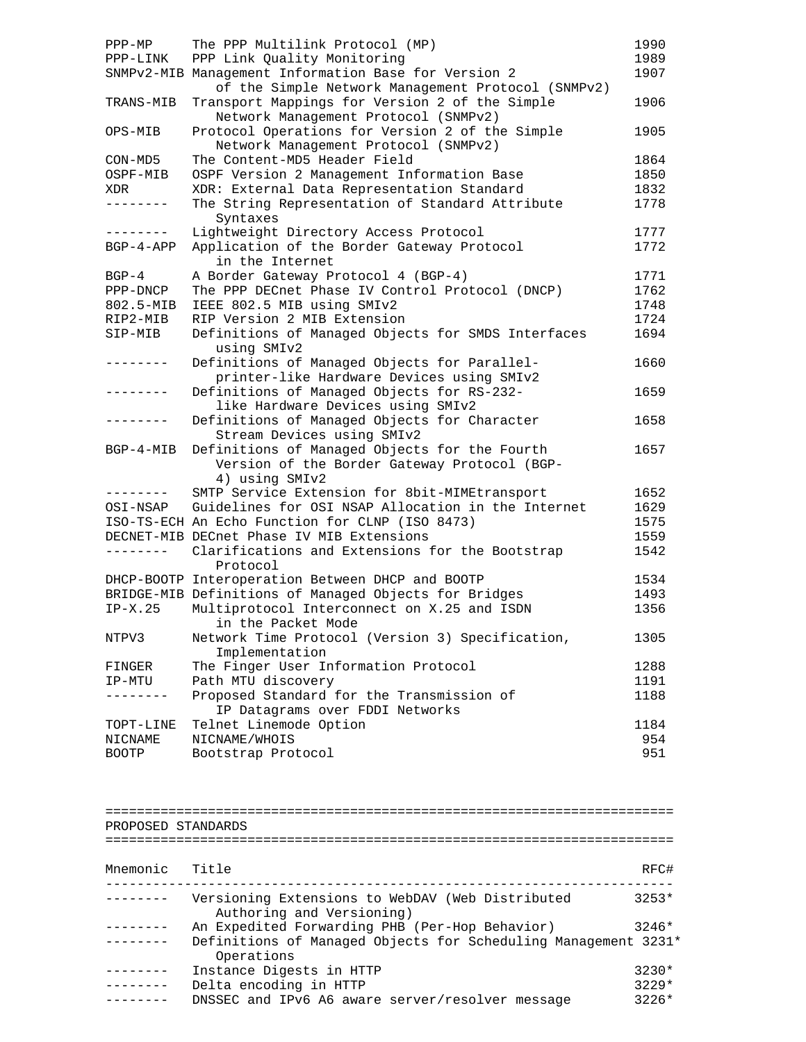| $PPP-MP$<br>PPP-LINK | The PPP Multilink Protocol (MP)<br>PPP Link Quality Monitoring<br>SNMPv2-MIB Management Information Base for Version 2                       | 1990<br>1989<br>1907 |
|----------------------|----------------------------------------------------------------------------------------------------------------------------------------------|----------------------|
| TRANS-MIB            | of the Simple Network Management Protocol (SNMPv2)<br>Transport Mappings for Version 2 of the Simple<br>Network Management Protocol (SNMPv2) | 1906                 |
| OPS-MIB              | Protocol Operations for Version 2 of the Simple<br>Network Management Protocol (SNMPv2)                                                      | 1905                 |
| CON-MD5              | The Content-MD5 Header Field                                                                                                                 | 1864                 |
| OSPF-MIB             | OSPF Version 2 Management Information Base                                                                                                   | 1850                 |
| XDR                  | XDR: External Data Representation Standard                                                                                                   | 1832                 |
| . <u>.</u> .         | The String Representation of Standard Attribute<br>Syntaxes                                                                                  | 1778                 |
| --------             | Lightweight Directory Access Protocol                                                                                                        | 1777                 |
| $BGP-4-APP$          | Application of the Border Gateway Protocol<br>in the Internet                                                                                | 1772                 |
| $BGP-4$              | A Border Gateway Protocol 4 (BGP-4)                                                                                                          | 1771                 |
| PPP-DNCP             | The PPP DECnet Phase IV Control Protocol (DNCP)                                                                                              | 1762                 |
| 802.5-MIB            | IEEE 802.5 MIB using SMIv2                                                                                                                   | 1748                 |
| RIP2-MIB             | RIP Version 2 MIB Extension                                                                                                                  | 1724                 |
| SIP-MIB              | Definitions of Managed Objects for SMDS Interfaces<br>using SMIv2                                                                            | 1694                 |
|                      | Definitions of Managed Objects for Parallel-<br>printer-like Hardware Devices using SMIv2                                                    | 1660                 |
| --------             | Definitions of Managed Objects for RS-232-<br>like Hardware Devices using SMIv2                                                              | 1659                 |
| .                    | Definitions of Managed Objects for Character<br>Stream Devices using SMIv2                                                                   | 1658                 |
| $BGP-4-MIB$          | Definitions of Managed Objects for the Fourth<br>Version of the Border Gateway Protocol (BGP-<br>4) using SMIv2                              | 1657                 |
| . – – – – – – –      | SMTP Service Extension for 8bit-MIMEtransport                                                                                                | 1652                 |
| OSI-NSAP             | Guidelines for OSI NSAP Allocation in the Internet                                                                                           | 1629                 |
|                      | ISO-TS-ECH An Echo Function for CLNP (ISO 8473)                                                                                              | 1575                 |
|                      | DECNET-MIB DECnet Phase IV MIB Extensions                                                                                                    | 1559                 |
| ---------            | Clarifications and Extensions for the Bootstrap<br>Protocol                                                                                  | 1542                 |
|                      | DHCP-BOOTP Interoperation Between DHCP and BOOTP                                                                                             | 1534                 |
|                      | BRIDGE-MIB Definitions of Managed Objects for Bridges                                                                                        | 1493                 |
| $IP-X.25$            | Multiprotocol Interconnect on X.25 and ISDN<br>in the Packet Mode                                                                            | 1356                 |
| NTPV3                | Network Time Protocol (Version 3) Specification,<br>Implementation                                                                           | 1305                 |
| FINGER               | The Finger User Information Protocol                                                                                                         | 1288                 |
| IP-MTU               | Path MTU discovery                                                                                                                           | 1191                 |
| $- - - - - - -$      | Proposed Standard for the Transmission of<br>IP Datagrams over FDDI Networks                                                                 | 1188                 |
| TOPT-LINE            | Telnet Linemode Option                                                                                                                       | 1184                 |
| NICNAME              | NICNAME/WHOIS                                                                                                                                | 954                  |
| <b>BOOTP</b>         | Bootstrap Protocol                                                                                                                           | 951                  |
|                      |                                                                                                                                              |                      |
| PROPOSED STANDARDS   |                                                                                                                                              |                      |
|                      |                                                                                                                                              |                      |
| Mnemonic Title       |                                                                                                                                              | RFC#                 |
|                      | Versioning Extensions to WebDAV (Web Distributed                                                                                             | $3253*$              |

| Authoring and Versioning)                                      |         |
|----------------------------------------------------------------|---------|
| An Expedited Forwarding PHB (Per-Hop Behavior)                 | 3246*   |
| Definitions of Managed Objects for Scheduling Management 3231* |         |
| Operations                                                     |         |
| Instance Digests in HTTP                                       | $3230*$ |
| Delta encoding in HTTP                                         | $3229*$ |
| DNSSEC and IPv6 A6 aware server/resolver message               | $3226*$ |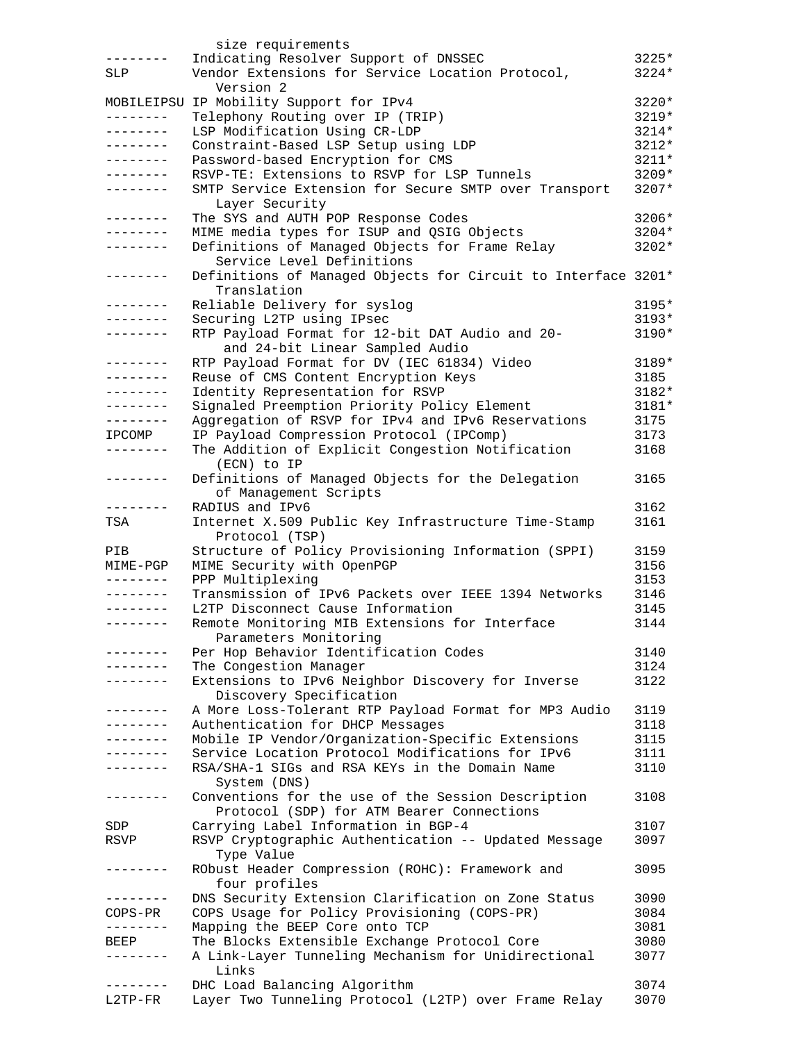|                        | size requirements                                                        |                  |
|------------------------|--------------------------------------------------------------------------|------------------|
|                        | Indicating Resolver Support of DNSSEC                                    | $3225*$          |
| SLP                    | Vendor Extensions for Service Location Protocol,                         | $3224*$          |
|                        | Version 2                                                                |                  |
|                        | MOBILEIPSU IP Mobility Support for IPv4                                  | 3220*            |
|                        | Telephony Routing over IP (TRIP)                                         | 3219*            |
| --------               | LSP Modification Using CR-LDP                                            | 3214*            |
| . – – – – – – –        | Constraint-Based LSP Setup using LDP                                     | 3212*            |
| --------               | Password-based Encryption for CMS                                        | $3211*$          |
| . <u>.</u><br>.        | RSVP-TE: Extensions to RSVP for LSP Tunnels                              | $3209*$<br>3207* |
|                        | SMTP Service Extension for Secure SMTP over Transport<br>Layer Security  |                  |
| ت کا کا کا کا کا کا    | The SYS and AUTH POP Response Codes                                      | $3206*$          |
| --------               | MIME media types for ISUP and QSIG Objects                               | 3204*            |
| --------               | Definitions of Managed Objects for Frame Relay                           | $3202*$          |
|                        | Service Level Definitions                                                |                  |
| --------               | Definitions of Managed Objects for Circuit to Interface 3201*            |                  |
|                        | Translation                                                              |                  |
| .                      | Reliable Delivery for syslog                                             | $3195*$          |
|                        | Securing L2TP using IPsec                                                | $3193*$          |
| . <u>.</u>             | RTP Payload Format for 12-bit DAT Audio and 20-                          | $3190*$          |
|                        | and 24-bit Linear Sampled Audio                                          |                  |
| .<br>- - - - - - - -   | RTP Payload Format for DV (IEC 61834) Video                              | 3189*            |
| . <u>.</u> .           | Reuse of CMS Content Encryption Keys<br>Identity Representation for RSVP | 3185<br>3182*    |
| . <u>.</u> .           | Signaled Preemption Priority Policy Element                              | $3181*$          |
| --------               | Aggregation of RSVP for IPv4 and IPv6 Reservations                       | 3175             |
| IPCOMP                 | IP Payload Compression Protocol (IPComp)                                 | 3173             |
| . <u>.</u> .           | The Addition of Explicit Congestion Notification                         | 3168             |
|                        | (ECN) to IP                                                              |                  |
| .                      | Definitions of Managed Objects for the Delegation                        | 3165             |
|                        | of Management Scripts                                                    |                  |
|                        | RADIUS and IPv6                                                          | 3162             |
| TSA                    | Internet X.509 Public Key Infrastructure Time-Stamp                      | 3161             |
|                        | Protocol (TSP)                                                           |                  |
| PIB                    | Structure of Policy Provisioning Information (SPPI)                      | 3159             |
| MIME-PGP               | MIME Security with OpenPGP                                               | 3156             |
| --------<br>. <u>.</u> | PPP Multiplexing<br>Transmission of IPv6 Packets over IEEE 1394 Networks | 3153<br>3146     |
| --------               | L2TP Disconnect Cause Information                                        | 3145             |
| --------               | Remote Monitoring MIB Extensions for Interface                           | 3144             |
|                        | Parameters Monitoring                                                    |                  |
| - - - - - - - -        | Per Hop Behavior Identification Codes                                    | 3140             |
|                        | The Congestion Manager                                                   | 3124             |
| --------               | Extensions to IPv6 Neighbor Discovery for Inverse                        | 3122             |
|                        | Discovery Specification                                                  |                  |
| --------               | A More Loss-Tolerant RTP Payload Format for MP3 Audio                    | 3119             |
| .                      | Authentication for DHCP Messages                                         | 3118             |
| . _ _ _ _ _ _ _        | Mobile IP Vendor/Organization-Specific Extensions                        | 3115             |
|                        | Service Location Protocol Modifications for IPv6                         | 3111             |
| . _ _ _ _ _ _ _        | RSA/SHA-1 SIGs and RSA KEYs in the Domain Name                           | 3110             |
| -------                | System (DNS)<br>Conventions for the use of the Session Description       | 3108             |
|                        | Protocol (SDP) for ATM Bearer Connections                                |                  |
| SDP                    | Carrying Label Information in BGP-4                                      | 3107             |
| RSVP                   | RSVP Cryptographic Authentication -- Updated Message                     | 3097             |
|                        | Type Value                                                               |                  |
| . <u>.</u> .           | RObust Header Compression (ROHC): Framework and                          | 3095             |
|                        | four profiles                                                            |                  |
|                        | DNS Security Extension Clarification on Zone Status                      | 3090             |
| COPS-PR                | COPS Usage for Policy Provisioning (COPS-PR)                             | 3084             |
|                        | Mapping the BEEP Core onto TCP                                           | 3081             |
| BEEP                   | The Blocks Extensible Exchange Protocol Core                             | 3080             |
|                        | A Link-Layer Tunneling Mechanism for Unidirectional                      | 3077             |
|                        | Links<br>DHC Load Balancing Algorithm                                    | 3074             |
| L2TP-FR                | Layer Two Tunneling Protocol (L2TP) over Frame Relay                     | 3070             |
|                        |                                                                          |                  |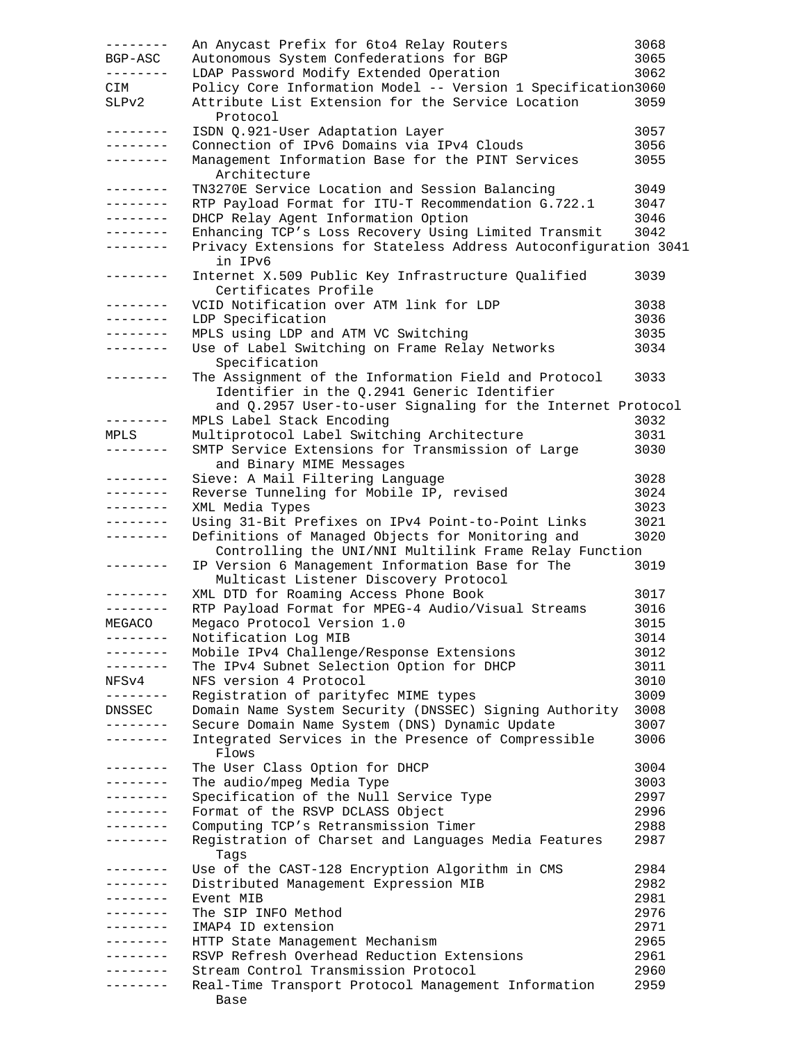| --------          | An Anycast Prefix for 6to4 Relay Routers                        | 3068 |
|-------------------|-----------------------------------------------------------------|------|
| BGP-ASC           | Autonomous System Confederations for BGP                        | 3065 |
| ---------         | LDAP Password Modify Extended Operation                         | 3062 |
| CIM               | Policy Core Information Model -- Version 1 Specification3060    |      |
| SLPv2             | Attribute List Extension for the Service Location               | 3059 |
|                   | Protocol                                                        |      |
| .                 | ISDN Q.921-User Adaptation Layer                                | 3057 |
|                   |                                                                 |      |
| --------          | Connection of IPv6 Domains via IPv4 Clouds                      | 3056 |
| --------          | Management Information Base for the PINT Services               | 3055 |
|                   | Architecture                                                    |      |
| --------          | TN3270E Service Location and Session Balancing                  | 3049 |
| ---------         | RTP Payload Format for ITU-T Recommendation G.722.1             | 3047 |
| --------          | DHCP Relay Agent Information Option                             | 3046 |
| --------          | Enhancing TCP's Loss Recovery Using Limited Transmit            | 3042 |
| --------          | Privacy Extensions for Stateless Address Autoconfiguration 3041 |      |
|                   | in IPv6                                                         |      |
| --------          | Internet X.509 Public Key Infrastructure Qualified              | 3039 |
|                   | Certificates Profile                                            |      |
| ---------         | VCID Notification over ATM link for LDP                         | 3038 |
| --------          | LDP Specification                                               | 3036 |
| --------          | MPLS using LDP and ATM VC Switching                             | 3035 |
| $- - - - - - - -$ | Use of Label Switching on Frame Relay Networks                  | 3034 |
|                   |                                                                 |      |
|                   | Specification                                                   |      |
| --------          | The Assignment of the Information Field and Protocol            | 3033 |
|                   | Identifier in the Q.2941 Generic Identifier                     |      |
|                   | and Q.2957 User-to-user Signaling for the Internet Protocol     |      |
| $- - - - - - - -$ | MPLS Label Stack Encoding                                       | 3032 |
| MPLS              | Multiprotocol Label Switching Architecture                      | 3031 |
| --------          | SMTP Service Extensions for Transmission of Large               | 3030 |
|                   | and Binary MIME Messages                                        |      |
| ---------         | Sieve: A Mail Filtering Language                                | 3028 |
| ---------         | Reverse Tunneling for Mobile IP, revised                        | 3024 |
| --------          | XML Media Types                                                 | 3023 |
| ---------         | Using 31-Bit Prefixes on IPv4 Point-to-Point Links              | 3021 |
| --------          | Definitions of Managed Objects for Monitoring and               | 3020 |
|                   |                                                                 |      |
|                   | Controlling the UNI/NNI Multilink Frame Relay Function          |      |
| --------          | IP Version 6 Management Information Base for The                | 3019 |
|                   | Multicast Listener Discovery Protocol                           |      |
| .                 | XML DTD for Roaming Access Phone Book                           | 3017 |
| --------          | RTP Payload Format for MPEG-4 Audio/Visual Streams              | 3016 |
| MEGACO            | Megaco Protocol Version 1.0                                     | 3015 |
|                   | Notification Log MIB                                            | 3014 |
| -------           | Mobile IPv4 Challenge/Response Extensions                       | 3012 |
| --------          | The IPv4 Subnet Selection Option for DHCP                       | 3011 |
| NFSv4             | NFS version 4 Protocol                                          | 3010 |
| .                 | Registration of parityfec MIME types                            | 3009 |
| DNSSEC            | Domain Name System Security (DNSSEC) Signing Authority          | 3008 |
| --------          | Secure Domain Name System (DNS) Dynamic Update                  | 3007 |
| .                 | Integrated Services in the Presence of Compressible             | 3006 |
|                   |                                                                 |      |
| --------          | Flows                                                           |      |
|                   | The User Class Option for DHCP                                  | 3004 |
| . <u>.</u> .      | The audio/mpeg Media Type                                       | 3003 |
| . <u>.</u>        | Specification of the Null Service Type                          | 2997 |
| --------          | Format of the RSVP DCLASS Object                                | 2996 |
|                   | Computing TCP's Retransmission Timer                            | 2988 |
|                   | Registration of Charset and Languages Media Features            | 2987 |
|                   | Taqs                                                            |      |
| . <i>.</i> .      | Use of the CAST-128 Encryption Algorithm in CMS                 | 2984 |
| . <u>.</u>        | Distributed Management Expression MIB                           | 2982 |
| . <u>.</u> .      | Event MIB                                                       | 2981 |
| - - - - - - - -   | The SIP INFO Method                                             | 2976 |
| --------          | IMAP4 ID extension                                              | 2971 |
| --------          | HTTP State Management Mechanism                                 | 2965 |
| --------          | RSVP Refresh Overhead Reduction Extensions                      | 2961 |
|                   | Stream Control Transmission Protocol                            | 2960 |
|                   |                                                                 | 2959 |
|                   | Real-Time Transport Protocol Management Information             |      |
|                   | Base                                                            |      |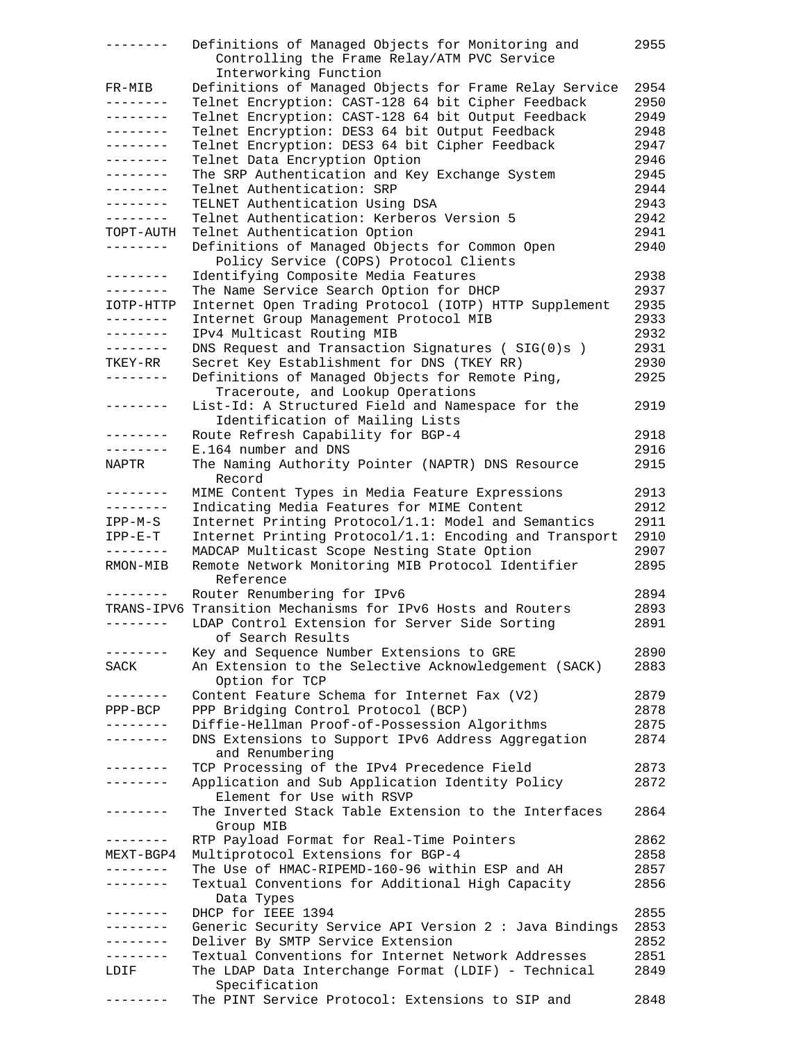| $- - - - - - - -$ | Definitions of Managed Objects for Monitoring and<br>Controlling the Frame Relay/ATM PVC Service | 2955 |
|-------------------|--------------------------------------------------------------------------------------------------|------|
|                   | Interworking Function                                                                            |      |
| FR-MIB            | Definitions of Managed Objects for Frame Relay Service                                           | 2954 |
| --------          | Telnet Encryption: CAST-128 64 bit Cipher Feedback                                               | 2950 |
| ________          | Telnet Encryption: CAST-128 64 bit Output Feedback                                               | 2949 |
| --------          | Telnet Encryption: DES3 64 bit Output Feedback                                                   | 2948 |
| --------          | Telnet Encryption: DES3 64 bit Cipher Feedback                                                   | 2947 |
| --------          | Telnet Data Encryption Option                                                                    | 2946 |
| --------          | The SRP Authentication and Key Exchange System                                                   | 2945 |
| --------          | Telnet Authentication: SRP                                                                       | 2944 |
| . – – – – – – –   | TELNET Authentication Using DSA                                                                  | 2943 |
| --------          | Telnet Authentication: Kerberos Version 5                                                        | 2942 |
|                   |                                                                                                  | 2941 |
| TOPT-AUTH         | Telnet Authentication Option                                                                     |      |
| --------          | Definitions of Managed Objects for Common Open                                                   | 2940 |
|                   | Policy Service (COPS) Protocol Clients                                                           |      |
| --------          | Identifying Composite Media Features                                                             | 2938 |
| --------          | The Name Service Search Option for DHCP                                                          | 2937 |
| IOTP-HTTP         | Internet Open Trading Protocol (IOTP) HTTP Supplement                                            | 2935 |
| ---------         | Internet Group Management Protocol MIB                                                           | 2933 |
| --------          | IPv4 Multicast Routing MIB                                                                       | 2932 |
| --------          | DNS Request and Transaction Signatures (SIG(0)s)                                                 | 2931 |
| TKEY-RR           | Secret Key Establishment for DNS (TKEY RR)                                                       | 2930 |
| --------          | Definitions of Managed Objects for Remote Ping,                                                  | 2925 |
|                   | Traceroute, and Lookup Operations                                                                |      |
| --------          | List-Id: A Structured Field and Namespace for the                                                | 2919 |
|                   | Identification of Mailing Lists                                                                  |      |
| --------          |                                                                                                  | 2918 |
|                   | Route Refresh Capability for BGP-4                                                               |      |
| --------          | E.164 number and DNS                                                                             | 2916 |
| NAPTR             | The Naming Authority Pointer (NAPTR) DNS Resource                                                | 2915 |
|                   | Record                                                                                           |      |
| --------          | MIME Content Types in Media Feature Expressions                                                  | 2913 |
| --------          | Indicating Media Features for MIME Content                                                       | 2912 |
| IPP-M-S           | Internet Printing Protocol/1.1: Model and Semantics                                              | 2911 |
| $IPP-E-T$         | Internet Printing Protocol/1.1: Encoding and Transport                                           | 2910 |
|                   | MADCAP Multicast Scope Nesting State Option                                                      | 2907 |
| RMON-MIB          | Remote Network Monitoring MIB Protocol Identifier                                                | 2895 |
|                   | Reference                                                                                        |      |
| --------          | Router Renumbering for IPv6                                                                      | 2894 |
|                   | TRANS-IPV6 Transition Mechanisms for IPv6 Hosts and Routers                                      | 2893 |
| --------          | LDAP Control Extension for Server Side Sorting                                                   | 2891 |
|                   | of Search Results                                                                                |      |
|                   | Key and Sequence Number Extensions to GRE                                                        | 2890 |
|                   |                                                                                                  |      |
| SACK              | An Extension to the Selective Acknowledgement (SACK)                                             | 2883 |
|                   | Option for TCP                                                                                   |      |
| .                 | Content Feature Schema for Internet Fax (V2)                                                     | 2879 |
| $PPP-BCP$         | PPP Bridging Control Protocol (BCP)                                                              | 2878 |
| .                 | Diffie-Hellman Proof-of-Possession Algorithms                                                    | 2875 |
| -------           | DNS Extensions to Support IPv6 Address Aggregation                                               | 2874 |
|                   | and Renumbering                                                                                  |      |
| . - - - - - - -   | TCP Processing of the IPv4 Precedence Field                                                      | 2873 |
| -------           | Application and Sub Application Identity Policy                                                  | 2872 |
|                   | Element for Use with RSVP                                                                        |      |
| -------           | The Inverted Stack Table Extension to the Interfaces                                             | 2864 |
|                   | Group MIB                                                                                        |      |
| --------          | RTP Payload Format for Real-Time Pointers                                                        | 2862 |
| MEXT-BGP4         | Multiprotocol Extensions for BGP-4                                                               | 2858 |
| $- - - - - - -$   | The Use of HMAC-RIPEMD-160-96 within ESP and AH                                                  | 2857 |
|                   |                                                                                                  |      |
| --------          | Textual Conventions for Additional High Capacity                                                 | 2856 |
|                   | Data Types                                                                                       |      |
| $- - - - - - - -$ | DHCP for IEEE 1394                                                                               | 2855 |
| --------          | Generic Security Service API Version 2 : Java Bindings                                           | 2853 |
| --------          | Deliver By SMTP Service Extension                                                                | 2852 |
| $- - - - - - - -$ | Textual Conventions for Internet Network Addresses                                               | 2851 |
| LDIF              | The LDAP Data Interchange Format (LDIF) - Technical                                              | 2849 |
|                   | Specification                                                                                    |      |
|                   | The PINT Service Protocol: Extensions to SIP and                                                 | 2848 |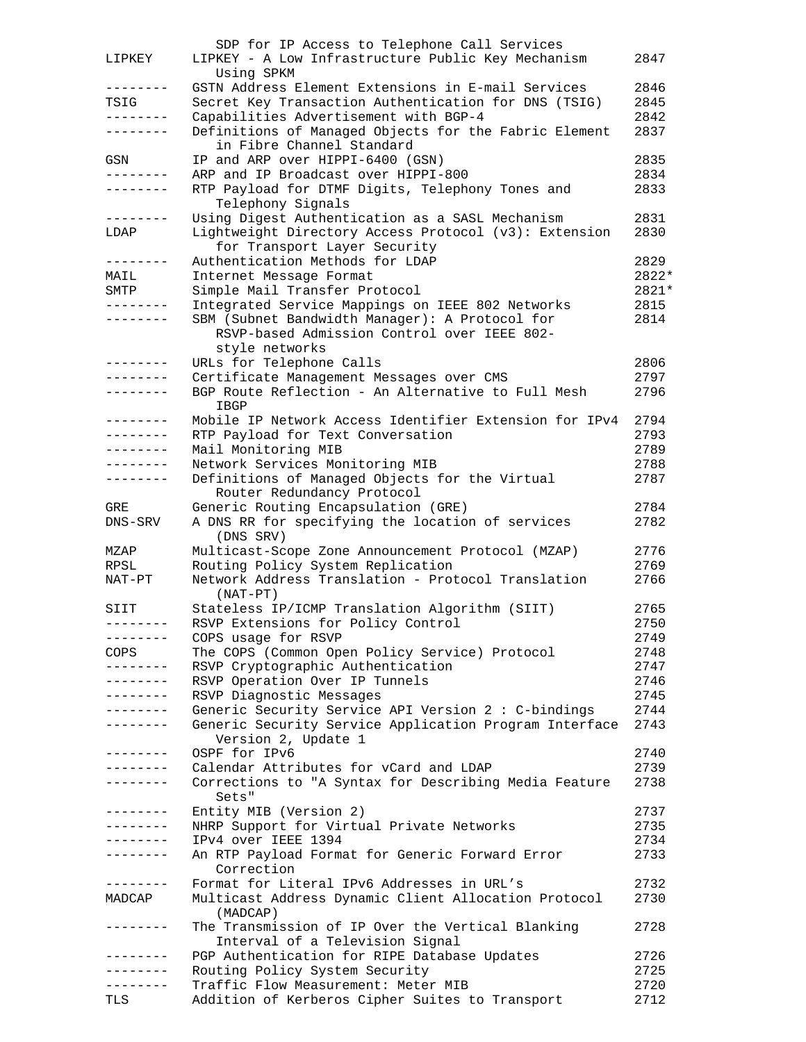|                     | SDP for IP Access to Telephone Call Services                                            |              |
|---------------------|-----------------------------------------------------------------------------------------|--------------|
| LIPKEY              | LIPKEY - A Low Infrastructure Public Key Mechanism                                      | 2847         |
|                     | Using SPKM                                                                              |              |
| --------            | GSTN Address Element Extensions in E-mail Services                                      | 2846         |
| TSIG                | Secret Key Transaction Authentication for DNS (TSIG)                                    | 2845         |
| --------            | Capabilities Advertisement with BGP-4                                                   | 2842         |
| --------            | Definitions of Managed Objects for the Fabric Element                                   | 2837         |
|                     | in Fibre Channel Standard                                                               |              |
| GSN                 | IP and ARP over HIPPI-6400 (GSN)                                                        | 2835         |
| --------            | ARP and IP Broadcast over HIPPI-800                                                     | 2834         |
| ---------           | RTP Payload for DTMF Digits, Telephony Tones and                                        | 2833         |
|                     | Telephony Signals                                                                       |              |
| --------            | Using Digest Authentication as a SASL Mechanism                                         | 2831         |
| LDAP                | Lightweight Directory Access Protocol (v3): Extension                                   | 2830         |
|                     | for Transport Layer Security                                                            |              |
| --------            | Authentication Methods for LDAP                                                         | 2829         |
| MAIL                | Internet Message Format                                                                 | 2822*        |
| SMTP                | Simple Mail Transfer Protocol                                                           | 2821*        |
| . <u>.</u> .        | Integrated Service Mappings on IEEE 802 Networks                                        | 2815         |
| --------            | SBM (Subnet Bandwidth Manager): A Protocol for                                          | 2814         |
|                     | RSVP-based Admission Control over IEEE 802-                                             |              |
|                     | style networks                                                                          |              |
| --------            | URLs for Telephone Calls                                                                | 2806         |
| . <u>.</u> .        | Certificate Management Messages over CMS                                                | 2797         |
| . <u>.</u>          |                                                                                         |              |
|                     | BGP Route Reflection - An Alternative to Full Mesh                                      | 2796         |
| --------            | IBGP                                                                                    |              |
|                     | Mobile IP Network Access Identifier Extension for IPv4                                  | 2794         |
| --------            | RTP Payload for Text Conversation                                                       | 2793         |
| --------            | Mail Monitoring MIB                                                                     | 2789         |
| --------            | Network Services Monitoring MIB                                                         | 2788         |
|                     | Definitions of Managed Objects for the Virtual                                          | 2787         |
|                     | Router Redundancy Protocol                                                              |              |
| GRE                 | Generic Routing Encapsulation (GRE)                                                     | 2784         |
| DNS-SRV             |                                                                                         | 2782         |
|                     | A DNS RR for specifying the location of services                                        |              |
|                     | (DNS SRV)                                                                               |              |
| MZAP                | Multicast-Scope Zone Announcement Protocol (MZAP)                                       | 2776         |
| RPSL                |                                                                                         | 2769         |
| NAT-PT              | Routing Policy System Replication<br>Network Address Translation - Protocol Translation | 2766         |
|                     | $(NAT-PT)$                                                                              |              |
| SIIT                |                                                                                         | 2765         |
| --------            | Stateless IP/ICMP Translation Algorithm (SIIT)                                          | 2750         |
| --------            | RSVP Extensions for Policy Control                                                      |              |
|                     | COPS usage for RSVP                                                                     | 2749         |
| COPS                | The COPS (Common Open Policy Service) Protocol                                          | 2748         |
| --------            | RSVP Cryptographic Authentication                                                       | 2747         |
| --------            | RSVP Operation Over IP Tunnels                                                          | 2746         |
| --------            | RSVP Diagnostic Messages                                                                | 2745         |
| --------            | Generic Security Service API Version 2 : C-bindings                                     | 2744         |
|                     | Generic Security Service Application Program Interface                                  | 2743         |
|                     | Version 2, Update 1                                                                     |              |
| $- - - - - - - - -$ | OSPF for IPv6                                                                           | 2740         |
| --------            | Calendar Attributes for vCard and LDAP                                                  | 2739         |
| . <i>.</i> .        | Corrections to "A Syntax for Describing Media Feature                                   | 2738         |
|                     | Sets"                                                                                   |              |
| --------            | Entity MIB (Version 2)                                                                  | 2737         |
| . _ _ _ _ _ _ _     | NHRP Support for Virtual Private Networks                                               | 2735         |
| . <u>.</u> .        | IPv4 over IEEE 1394                                                                     | 2734         |
| . _ _ _ _ _ _ _     | An RTP Payload Format for Generic Forward Error                                         | 2733         |
|                     | Correction                                                                              |              |
| --------            | Format for Literal IPv6 Addresses in URL's                                              | 2732         |
| MADCAP              |                                                                                         | 2730         |
|                     | Multicast Address Dynamic Client Allocation Protocol<br>(MADCAP)                        |              |
| . <u>.</u>          |                                                                                         | 2728         |
|                     | The Transmission of IP Over the Vertical Blanking                                       |              |
| --------            | Interval of a Television Signal                                                         |              |
| --------            | PGP Authentication for RIPE Database Updates                                            | 2726         |
|                     | Routing Policy System Security                                                          | 2725         |
| TLS                 | Traffic Flow Measurement: Meter MIB<br>Addition of Kerberos Cipher Suites to Transport  | 2720<br>2712 |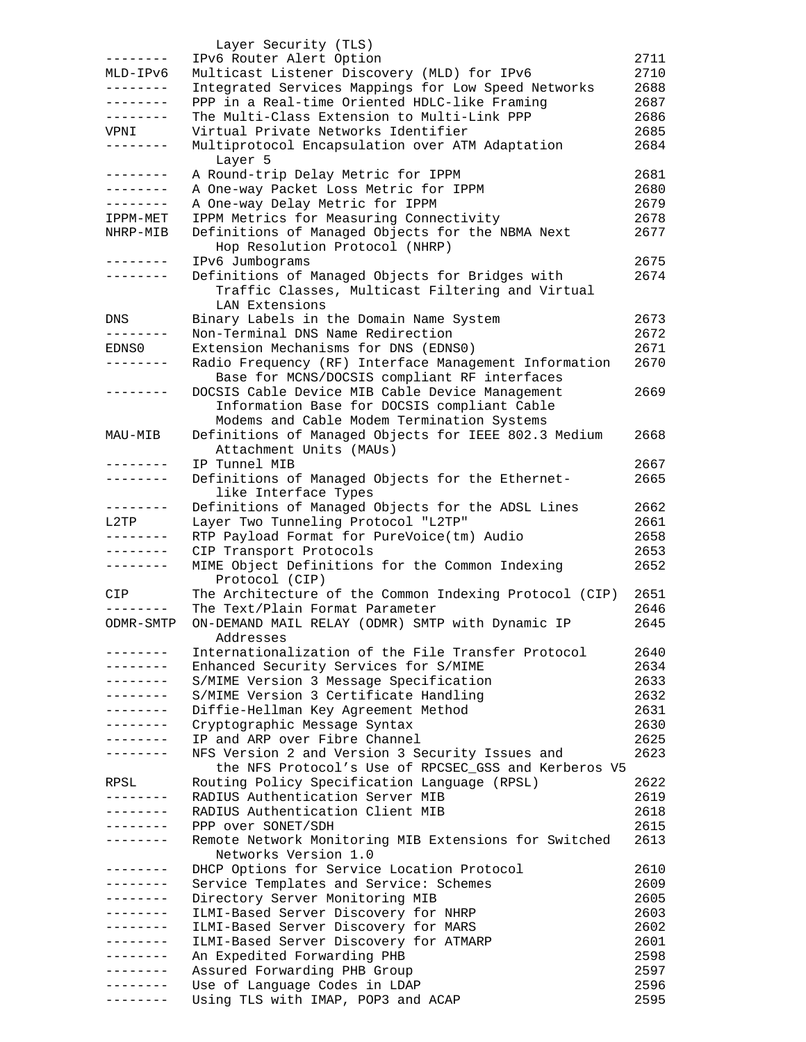|                   | Layer Security (TLS)                                                                      |      |
|-------------------|-------------------------------------------------------------------------------------------|------|
| ---------         | IPv6 Router Alert Option                                                                  | 2711 |
| MLD-IPv6          | Multicast Listener Discovery (MLD) for IPv6                                               | 2710 |
| --------          | Integrated Services Mappings for Low Speed Networks                                       | 2688 |
| --------          | PPP in a Real-time Oriented HDLC-like Framing                                             | 2687 |
| --------          | The Multi-Class Extension to Multi-Link PPP                                               | 2686 |
| VPNI              | Virtual Private Networks Identifier                                                       | 2685 |
| --------          | Multiprotocol Encapsulation over ATM Adaptation                                           | 2684 |
|                   | Layer 5                                                                                   |      |
| ---------         | A Round-trip Delay Metric for IPPM                                                        | 2681 |
| . <u>.</u>        | A One-way Packet Loss Metric for IPPM                                                     | 2680 |
| .                 | A One-way Delay Metric for IPPM                                                           | 2679 |
| IPPM-MET          | IPPM Metrics for Measuring Connectivity                                                   | 2678 |
| NHRP-MIB          | Definitions of Managed Objects for the NBMA Next                                          | 2677 |
|                   | Hop Resolution Protocol (NHRP)                                                            |      |
| . <u>.</u>        | IPv6 Jumbograms                                                                           | 2675 |
| --------          | Definitions of Managed Objects for Bridges with                                           | 2674 |
|                   | Traffic Classes, Multicast Filtering and Virtual                                          |      |
|                   | LAN Extensions                                                                            |      |
| DNS               | Binary Labels in the Domain Name System                                                   | 2673 |
| $- - - - - - - -$ | Non-Terminal DNS Name Redirection                                                         | 2672 |
| EDNS0             | Extension Mechanisms for DNS (EDNS0)                                                      | 2671 |
| . <u>.</u> .      | Radio Frequency (RF) Interface Management Information                                     | 2670 |
|                   | Base for MCNS/DOCSIS compliant RF interfaces                                              |      |
| . <u>.</u>        | DOCSIS Cable Device MIB Cable Device Management                                           | 2669 |
|                   | Information Base for DOCSIS compliant Cable                                               |      |
|                   | Modems and Cable Modem Termination Systems                                                |      |
| MAU-MIB           | Definitions of Managed Objects for IEEE 802.3 Medium                                      | 2668 |
|                   | Attachment Units (MAUs)                                                                   |      |
| -------           | IP Tunnel MIB                                                                             | 2667 |
| --------          | Definitions of Managed Objects for the Ethernet-                                          | 2665 |
|                   | like Interface Types                                                                      |      |
| --------          | Definitions of Managed Objects for the ADSL Lines                                         | 2662 |
| L2TP              | Layer Two Tunneling Protocol "L2TP"                                                       | 2661 |
| . _ _ _ _ _ _ _   | RTP Payload Format for PureVoice(tm) Audio                                                | 2658 |
| . <u>.</u> .      |                                                                                           | 2653 |
| $- - - - - - - -$ | CIP Transport Protocols                                                                   | 2652 |
|                   | MIME Object Definitions for the Common Indexing<br>Protocol (CIP)                         |      |
| CIP               |                                                                                           | 2651 |
|                   | The Architecture of the Common Indexing Protocol (CIP)<br>The Text/Plain Format Parameter | 2646 |
|                   |                                                                                           |      |
| ODMR-SMTP         | ON-DEMAND MAIL RELAY (ODMR) SMTP with Dynamic IP<br>Addresses                             | 2645 |
|                   |                                                                                           |      |
| .                 | Internationalization of the File Transfer Protocol                                        | 2640 |
|                   | Enhanced Security Services for S/MIME                                                     | 2634 |
| .                 | S/MIME Version 3 Message Specification                                                    | 2633 |
| . <u>.</u> .      | S/MIME Version 3 Certificate Handling                                                     | 2632 |
| .                 | Diffie-Hellman Key Agreement Method                                                       | 2631 |
| . <u>.</u> .      | Cryptographic Message Syntax                                                              | 2630 |
| . <u>.</u>        | IP and ARP over Fibre Channel                                                             | 2625 |
| .                 | NFS Version 2 and Version 3 Security Issues and                                           | 2623 |
|                   | the NFS Protocol's Use of RPCSEC_GSS and Kerberos V5                                      |      |
| RPSL              | Routing Policy Specification Language (RPSL)                                              | 2622 |
|                   | RADIUS Authentication Server MIB                                                          | 2619 |
| -------           | RADIUS Authentication Client MIB                                                          | 2618 |
| .                 | PPP over SONET/SDH                                                                        | 2615 |
| --------          | Remote Network Monitoring MIB Extensions for Switched                                     | 2613 |
|                   | Networks Version 1.0                                                                      |      |
| . <u>.</u> .      | DHCP Options for Service Location Protocol                                                | 2610 |
| . <u>.</u> .      | Service Templates and Service: Schemes                                                    | 2609 |
| . <u>.</u> .      | Directory Server Monitoring MIB                                                           | 2605 |
| --------          | ILMI-Based Server Discovery for NHRP                                                      | 2603 |
| .                 | ILMI-Based Server Discovery for MARS                                                      | 2602 |
| . <u>.</u>        | ILMI-Based Server Discovery for ATMARP                                                    | 2601 |
| . - - - - - - -   | An Expedited Forwarding PHB                                                               | 2598 |
| . <u>.</u>        | Assured Forwarding PHB Group                                                              | 2597 |
|                   | Use of Language Codes in LDAP                                                             | 2596 |
|                   | Using TLS with IMAP, POP3 and ACAP                                                        | 2595 |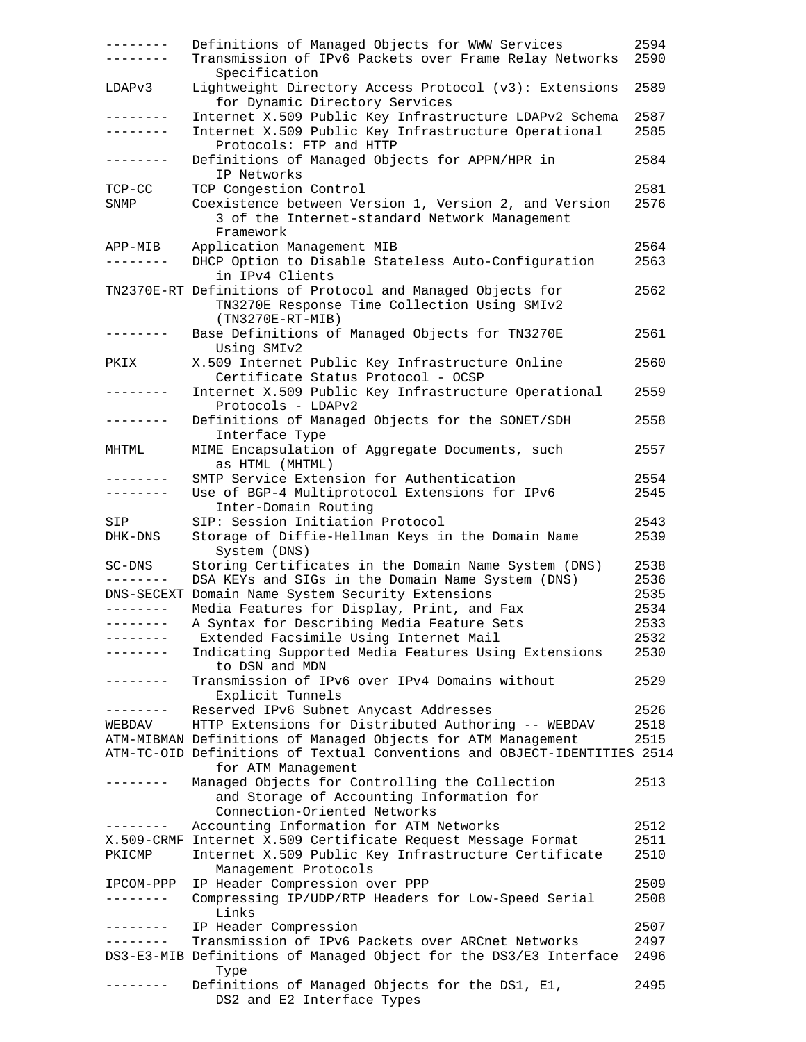| --------        | Definitions of Managed Objects for WWW Services<br>Transmission of IPv6 Packets over Frame Relay Networks<br>Specification       | 2594<br>2590 |
|-----------------|----------------------------------------------------------------------------------------------------------------------------------|--------------|
| LDAPv3          | Lightweight Directory Access Protocol (v3): Extensions<br>for Dynamic Directory Services                                         | 2589         |
| . _ _ _ _ _ _ _ | Internet X.509 Public Key Infrastructure LDAPv2 Schema                                                                           | 2587         |
| --------        | Internet X.509 Public Key Infrastructure Operational<br>Protocols: FTP and HTTP                                                  | 2585         |
| --------        | Definitions of Managed Objects for APPN/HPR in<br>IP Networks                                                                    | 2584         |
| TCP-CC          | TCP Congestion Control                                                                                                           | 2581         |
| SNMP            | Coexistence between Version 1, Version 2, and Version<br>3 of the Internet-standard Network Management<br>Framework              | 2576         |
| APP-MIB         | Application Management MIB                                                                                                       | 2564         |
|                 | DHCP Option to Disable Stateless Auto-Configuration<br>in IPv4 Clients                                                           | 2563         |
|                 | TN2370E-RT Definitions of Protocol and Managed Objects for<br>TN3270E Response Time Collection Using SMIv2<br>$(TN3270E-RT-MIB)$ | 2562         |
| --------        | Base Definitions of Managed Objects for TN3270E<br>Using SMIv2                                                                   | 2561         |
| PKIX            | X.509 Internet Public Key Infrastructure Online<br>Certificate Status Protocol - OCSP                                            | 2560         |
| --------        | Internet X.509 Public Key Infrastructure Operational<br>Protocols - LDAPv2                                                       | 2559         |
| - - - - - - - - | Definitions of Managed Objects for the SONET/SDH<br>Interface Type                                                               | 2558         |
| MHTML           | MIME Encapsulation of Aggregate Documents, such<br>as HTML (MHTML)                                                               | 2557         |
| --------        | SMTP Service Extension for Authentication                                                                                        | 2554         |
| ---------       | Use of BGP-4 Multiprotocol Extensions for IPv6<br>Inter-Domain Routing                                                           | 2545         |
| SIP             | SIP: Session Initiation Protocol                                                                                                 | 2543         |
| DHK-DNS         | Storage of Diffie-Hellman Keys in the Domain Name<br>System (DNS)                                                                | 2539         |
| SC-DNS          | Storing Certificates in the Domain Name System (DNS)<br>DSA KEYs and SIGs in the Domain Name System (DNS)                        | 2538<br>2536 |
|                 | DNS-SECEXT Domain Name System Security Extensions                                                                                | 2535         |
| --------        | Media Features for Display, Print, and Fax                                                                                       | 2534         |
| --------        | A Syntax for Describing Media Feature Sets                                                                                       | 2533         |
| --------        | Extended Facsimile Using Internet Mail                                                                                           | 2532         |
|                 | Indicating Supported Media Features Using Extensions<br>to DSN and MDN                                                           | 2530         |
|                 | Transmission of IPv6 over IPv4 Domains without<br>Explicit Tunnels                                                               | 2529         |
|                 | Reserved IPv6 Subnet Anycast Addresses                                                                                           | 2526         |
| WEBDAV          | HTTP Extensions for Distributed Authoring -- WEBDAV                                                                              | 2518         |
|                 | ATM-MIBMAN Definitions of Managed Objects for ATM Management                                                                     | 2515         |
|                 | ATM-TC-OID Definitions of Textual Conventions and OBJECT-IDENTITIES 2514<br>for ATM Management                                   |              |
| - - - - - - -   | Managed Objects for Controlling the Collection<br>and Storage of Accounting Information for<br>Connection-Oriented Networks      | 2513         |
| --------        | Accounting Information for ATM Networks                                                                                          | 2512         |
|                 | X.509-CRMF Internet X.509 Certificate Request Message Format                                                                     | 2511         |
| PKICMP          | Internet X.509 Public Key Infrastructure Certificate<br>Management Protocols                                                     | 2510         |
| IPCOM-PPP       | IP Header Compression over PPP                                                                                                   | 2509         |
|                 | Compressing IP/UDP/RTP Headers for Low-Speed Serial<br>Links                                                                     | 2508         |
| . <u>.</u> .    | IP Header Compression                                                                                                            | 2507         |
| --------        | Transmission of IPv6 Packets over ARCnet Networks                                                                                | 2497         |
|                 | DS3-E3-MIB Definitions of Managed Object for the DS3/E3 Interface<br>Type                                                        | 2496         |
|                 | Definitions of Managed Objects for the DS1, E1,<br>DS2 and E2 Interface Types                                                    | 2495         |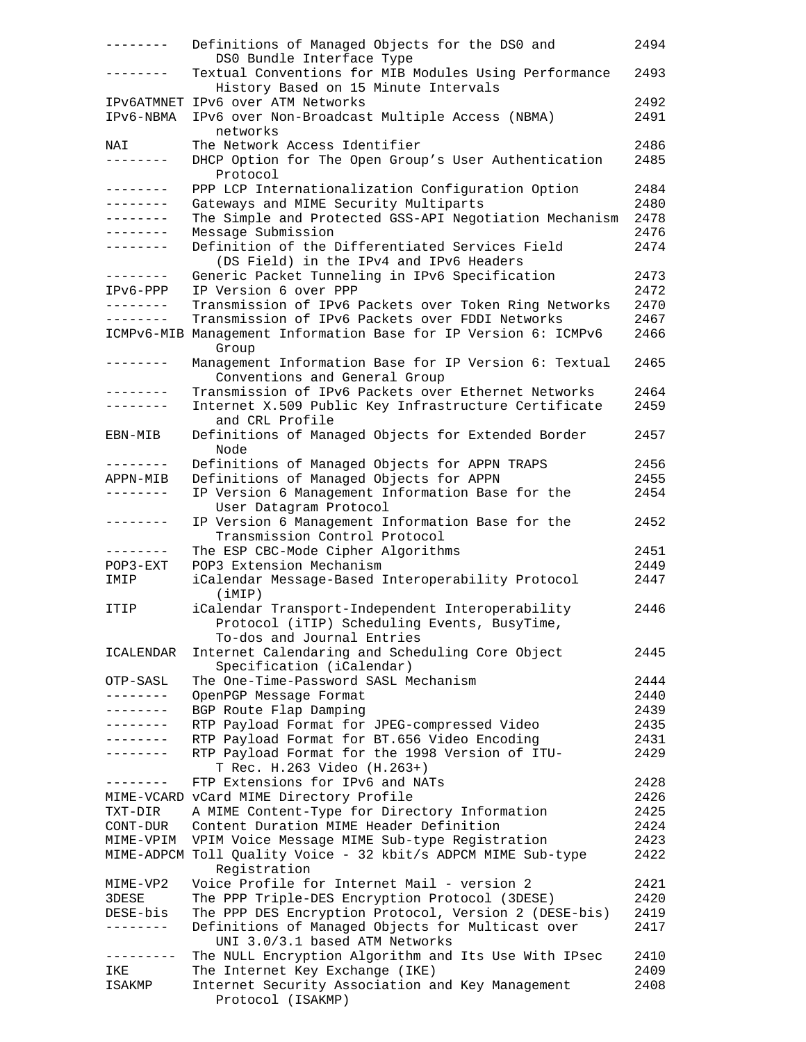| --------            | Definitions of Managed Objects for the DS0 and<br>DS0 Bundle Interface Type                   | 2494 |
|---------------------|-----------------------------------------------------------------------------------------------|------|
|                     | Textual Conventions for MIB Modules Using Performance<br>History Based on 15 Minute Intervals | 2493 |
|                     | IPV6ATMNET IPV6 over ATM Networks                                                             | 2492 |
| IPv6-NBMA           | IPv6 over Non-Broadcast Multiple Access (NBMA)                                                | 2491 |
|                     | networks                                                                                      |      |
| NAI                 | The Network Access Identifier                                                                 | 2486 |
| --------            | DHCP Option for The Open Group's User Authentication                                          | 2485 |
|                     | Protocol                                                                                      |      |
| ---------           | PPP LCP Internationalization Configuration Option                                             | 2484 |
| --------            | Gateways and MIME Security Multiparts                                                         | 2480 |
| . _ _ _ _ _ _ _     | The Simple and Protected GSS-API Negotiation Mechanism                                        | 2478 |
| $- - - - - - - -$   | Message Submission                                                                            | 2476 |
| --------            | Definition of the Differentiated Services Field                                               | 2474 |
|                     | (DS Field) in the IPv4 and IPv6 Headers                                                       |      |
| --------            | Generic Packet Tunneling in IPv6 Specification                                                | 2473 |
| IPv6-PPP            | IP Version 6 over PPP                                                                         | 2472 |
| --------            | Transmission of IPv6 Packets over Token Ring Networks                                         | 2470 |
| --------            | Transmission of IPv6 Packets over FDDI Networks                                               | 2467 |
|                     | ICMPv6-MIB Management Information Base for IP Version 6: ICMPv6<br>Group                      | 2466 |
| --------            | Management Information Base for IP Version 6: Textual                                         | 2465 |
|                     | Conventions and General Group                                                                 |      |
| .                   | Transmission of IPv6 Packets over Ethernet Networks                                           | 2464 |
| $- - - - - - - - -$ | Internet X.509 Public Key Infrastructure Certificate                                          | 2459 |
|                     | and CRL Profile                                                                               |      |
| EBN-MIB             | Definitions of Managed Objects for Extended Border<br>Node                                    | 2457 |
| --------            | Definitions of Managed Objects for APPN TRAPS                                                 | 2456 |
| APPN-MIB            | Definitions of Managed Objects for APPN                                                       | 2455 |
|                     | IP Version 6 Management Information Base for the                                              | 2454 |
|                     | User Datagram Protocol                                                                        |      |
| --------            | IP Version 6 Management Information Base for the                                              | 2452 |
|                     | Transmission Control Protocol                                                                 |      |
| --------            | The ESP CBC-Mode Cipher Algorithms                                                            | 2451 |
| $POP3 - EXT$        | POP3 Extension Mechanism                                                                      | 2449 |
| IMIP                | iCalendar Message-Based Interoperability Protocol                                             | 2447 |
|                     | (iMIP)                                                                                        |      |
| ITIP                | iCalendar Transport-Independent Interoperability                                              | 2446 |
|                     | Protocol (iTIP) Scheduling Events, BusyTime,                                                  |      |
|                     | To-dos and Journal Entries                                                                    |      |
| ICALENDAR           | Internet Calendaring and Scheduling Core Object                                               | 2445 |
|                     | Specification (iCalendar)                                                                     |      |
| OTP-SASL            | The One-Time-Password SASL Mechanism                                                          | 2444 |
| . <u>.</u> .        | OpenPGP Message Format                                                                        | 2440 |
| -------             | BGP Route Flap Damping                                                                        | 2439 |
| . <u>.</u> .        | RTP Payload Format for JPEG-compressed Video                                                  | 2435 |
| .                   | RTP Payload Format for BT.656 Video Encoding                                                  | 2431 |
| -------             | RTP Payload Format for the 1998 Version of ITU-                                               | 2429 |
|                     | T Rec. H.263 Video (H.263+)                                                                   |      |
| --------            | FTP Extensions for IPv6 and NATs                                                              | 2428 |
|                     | MIME-VCARD vCard MIME Directory Profile                                                       | 2426 |
| TXT-DIR             | A MIME Content-Type for Directory Information                                                 | 2425 |
| CONT-DUR            | Content Duration MIME Header Definition                                                       | 2424 |
| MIME-VPIM           | VPIM Voice Message MIME Sub-type Registration                                                 | 2423 |
|                     | MIME-ADPCM Toll Quality Voice - 32 kbit/s ADPCM MIME Sub-type                                 | 2422 |
|                     | Registration                                                                                  |      |
| MIME-VP2            | Voice Profile for Internet Mail - version 2                                                   | 2421 |
| 3DESE               | The PPP Triple-DES Encryption Protocol (3DESE)                                                | 2420 |
| DESE-bis            | The PPP DES Encryption Protocol, Version 2 (DESE-bis)                                         | 2419 |
| -------             | Definitions of Managed Objects for Multicast over                                             | 2417 |
|                     | UNI 3.0/3.1 based ATM Networks                                                                |      |
| ---------           | The NULL Encryption Algorithm and Its Use With IPsec                                          | 2410 |
| IKE                 | The Internet Key Exchange (IKE)                                                               | 2409 |
| ISAKMP              | Internet Security Association and Key Management                                              | 2408 |
|                     | Protocol (ISAKMP)                                                                             |      |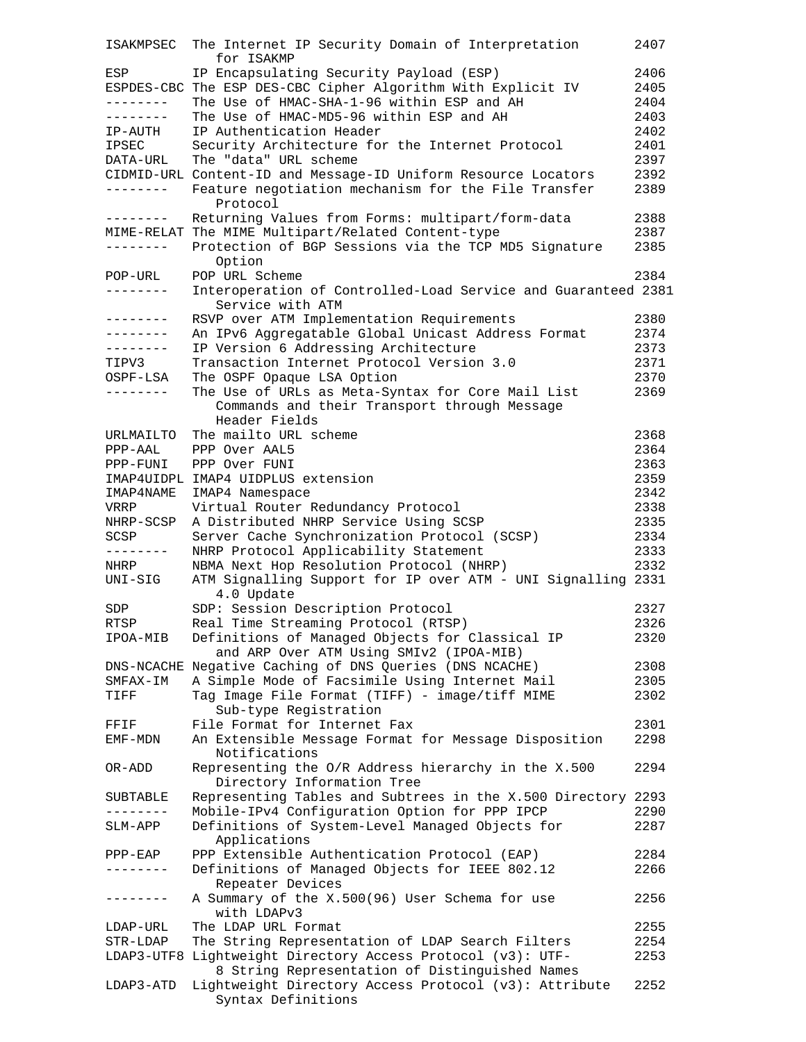| ISAKMPSEC  | The Internet IP Security Domain of Interpretation               | 2407 |
|------------|-----------------------------------------------------------------|------|
|            | for ISAKMP                                                      |      |
| ESP        | IP Encapsulating Security Payload (ESP)                         | 2406 |
|            | ESPDES-CBC The ESP DES-CBC Cipher Algorithm With Explicit IV    | 2405 |
| --------   | The Use of HMAC-SHA-1-96 within ESP and AH                      | 2404 |
| --------   | The Use of HMAC-MD5-96 within ESP and AH                        | 2403 |
| IP-AUTH    | IP Authentication Header                                        | 2402 |
| IPSEC      | Security Architecture for the Internet Protocol                 | 2401 |
| DATA-URL   | The "data" URL scheme                                           | 2397 |
|            | CIDMID-URL Content-ID and Message-ID Uniform Resource Locators  | 2392 |
| ---------  | Feature negotiation mechanism for the File Transfer             | 2389 |
|            | Protocol                                                        |      |
|            | Returning Values from Forms: multipart/form-data                | 2388 |
|            | MIME-RELAT The MIME Multipart/Related Content-type              | 2387 |
| --------   | Protection of BGP Sessions via the TCP MD5 Signature            | 2385 |
|            | Option                                                          |      |
| POP-URL    | POP URL Scheme                                                  | 2384 |
| --------   | Interoperation of Controlled-Load Service and Guaranteed 2381   |      |
|            | Service with ATM                                                |      |
| --------   | RSVP over ATM Implementation Requirements                       | 2380 |
| --------   | An IPv6 Aggregatable Global Unicast Address Format              | 2374 |
| --------   | IP Version 6 Addressing Architecture                            | 2373 |
| TIPV3      | Transaction Internet Protocol Version 3.0                       | 2371 |
| OSPF-LSA   | The OSPF Opaque LSA Option                                      | 2370 |
| --------   | The Use of URLs as Meta-Syntax for Core Mail List               | 2369 |
|            | Commands and their Transport through Message                    |      |
|            | Header Fields                                                   |      |
| URLMAILTO  | The mailto URL scheme                                           | 2368 |
| PPP-AAL    | PPP Over AAL5                                                   | 2364 |
| PPP-FUNI   | PPP Over FUNI                                                   | 2363 |
|            |                                                                 |      |
|            | IMAP4UIDPL IMAP4 UIDPLUS extension                              | 2359 |
| IMAP4NAME  | IMAP4 Namespace                                                 | 2342 |
| VRRP       | Virtual Router Redundancy Protocol                              | 2338 |
| NHRP-SCSP  | A Distributed NHRP Service Using SCSP                           | 2335 |
| SCSP       | Server Cache Synchronization Protocol (SCSP)                    | 2334 |
|            | NHRP Protocol Applicability Statement                           | 2333 |
| NHRP       | NBMA Next Hop Resolution Protocol (NHRP)                        | 2332 |
| UNI-SIG    | ATM Signalling Support for IP over ATM - UNI Signalling 2331    |      |
|            | 4.0 Update                                                      |      |
| SDP        | SDP: Session Description Protocol                               | 2327 |
| RTSP       | Real Time Streaming Protocol (RTSP)                             | 2326 |
| IPOA-MIB   | Definitions of Managed Objects for Classical IP                 | 2320 |
|            | and ARP Over ATM Using SMIv2 (IPOA-MIB)                         |      |
|            | DNS-NCACHE Negative Caching of DNS Queries (DNS NCACHE)         | 2308 |
| SMFAX-IM   | A Simple Mode of Facsimile Using Internet Mail                  | 2305 |
| TIFF       | Tag Image File Format (TIFF) - image/tiff MIME                  | 2302 |
|            | Sub-type Registration                                           |      |
| FFIF       | File Format for Internet Fax                                    | 2301 |
| EMF-MDN    | An Extensible Message Format for Message Disposition            | 2298 |
|            | Notifications                                                   |      |
| OR-ADD     | Representing the O/R Address hierarchy in the X.500             | 2294 |
|            | Directory Information Tree                                      |      |
| SUBTABLE   | Representing Tables and Subtrees in the X.500 Directory 2293    |      |
|            | Mobile-IPv4 Configuration Option for PPP IPCP                   | 2290 |
|            |                                                                 | 2287 |
| SLM-APP    | Definitions of System-Level Managed Objects for<br>Applications |      |
| $PPP-EAP$  | PPP Extensible Authentication Protocol (EAP)                    | 2284 |
|            |                                                                 |      |
|            | Definitions of Managed Objects for IEEE 802.12                  | 2266 |
| -------    | Repeater Devices                                                |      |
|            | A Summary of the X.500(96) User Schema for use                  | 2256 |
|            | with LDAPv3                                                     |      |
| LDAP-URL   | The LDAP URL Format                                             | 2255 |
| STR-LDAP   | The String Representation of LDAP Search Filters                | 2254 |
| LDAP3-UTF8 | Lightweight Directory Access Protocol (v3): UTF-                | 2253 |
|            | 8 String Representation of Distinguished Names                  |      |
| LDAP3-ATD  | Lightweight Directory Access Protocol (v3): Attribute           | 2252 |
|            | Syntax Definitions                                              |      |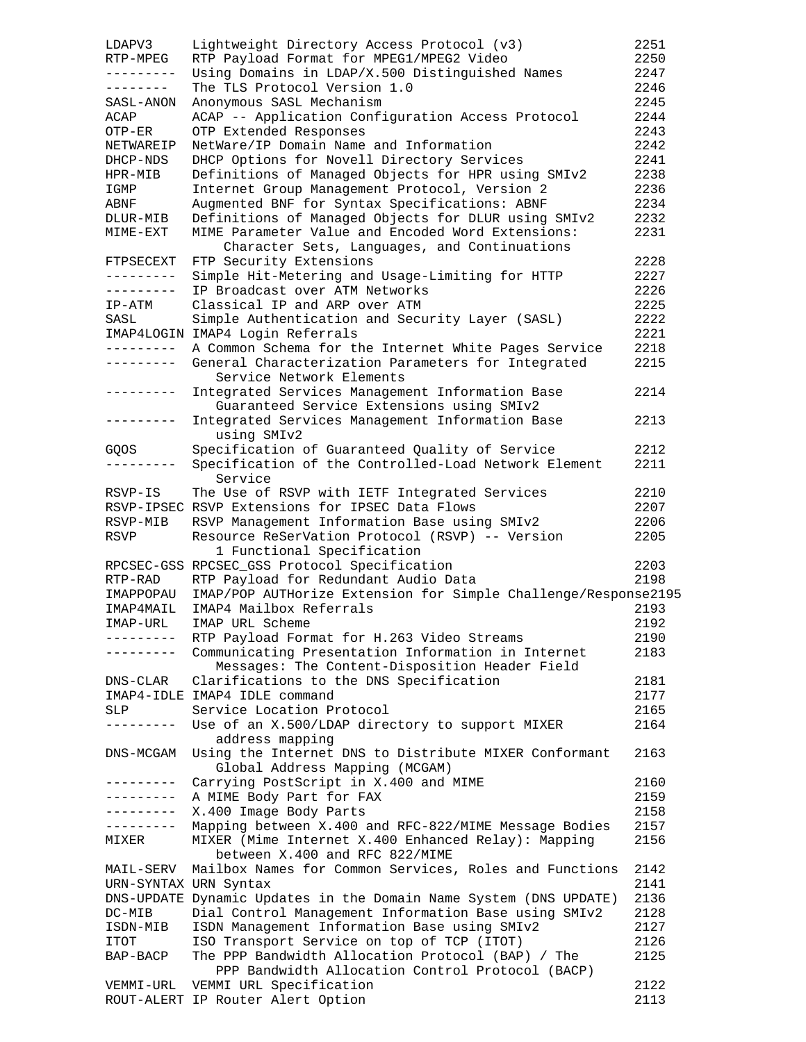| LDAPV3                | Lightweight Directory Access Protocol (v3)                                     | 2251 |
|-----------------------|--------------------------------------------------------------------------------|------|
| RTP-MPEG              | RTP Payload Format for MPEG1/MPEG2 Video                                       | 2250 |
| ---------             | Using Domains in LDAP/X.500 Distinguished Names                                | 2247 |
| --------              | The TLS Protocol Version 1.0                                                   | 2246 |
| SASL-ANON             | Anonymous SASL Mechanism                                                       | 2245 |
| ACAP                  | ACAP -- Application Configuration Access Protocol                              | 2244 |
| OTP-ER                | OTP Extended Responses                                                         | 2243 |
| NETWAREIP             | NetWare/IP Domain Name and Information                                         | 2242 |
| DHCP-NDS              | DHCP Options for Novell Directory Services                                     | 2241 |
| HPR-MIB               | Definitions of Managed Objects for HPR using SMIv2                             | 2238 |
| IGMP                  | Internet Group Management Protocol, Version 2                                  | 2236 |
| ABNF                  | Augmented BNF for Syntax Specifications: ABNF                                  | 2234 |
| DLUR-MIB              | Definitions of Managed Objects for DLUR using SMIv2                            | 2232 |
| MIME-EXT              | MIME Parameter Value and Encoded Word Extensions:                              | 2231 |
|                       | Character Sets, Languages, and Continuations                                   |      |
| FTPSECEXT             | FTP Security Extensions                                                        | 2228 |
| ---------             | Simple Hit-Metering and Usage-Limiting for HTTP                                | 2227 |
| ---------             | IP Broadcast over ATM Networks                                                 | 2226 |
| IP-ATM                | Classical IP and ARP over ATM                                                  | 2225 |
| SASL                  | Simple Authentication and Security Layer (SASL)                                | 2222 |
|                       | IMAP4LOGIN IMAP4 Login Referrals                                               | 2221 |
| ----------            | A Common Schema for the Internet White Pages Service                           | 2218 |
| ---------             | General Characterization Parameters for Integrated<br>Service Network Elements | 2215 |
| ---------             | Integrated Services Management Information Base                                | 2214 |
|                       | Guaranteed Service Extensions using SMIv2                                      |      |
| ---------             | Integrated Services Management Information Base                                | 2213 |
|                       | using SMIv2                                                                    |      |
| GQOS                  | Specification of Guaranteed Quality of Service                                 | 2212 |
|                       | Specification of the Controlled-Load Network Element<br>Service                | 2211 |
| RSVP-IS               | The Use of RSVP with IETF Integrated Services                                  | 2210 |
|                       | RSVP-IPSEC RSVP Extensions for IPSEC Data Flows                                | 2207 |
| RSVP-MIB              | RSVP Management Information Base using SMIv2                                   | 2206 |
| RSVP                  | Resource ReSerVation Protocol (RSVP) -- Version                                | 2205 |
|                       | 1 Functional Specification                                                     |      |
|                       | RPCSEC-GSS RPCSEC_GSS Protocol Specification                                   | 2203 |
| RTP-RAD               | RTP Payload for Redundant Audio Data                                           | 2198 |
| IMAPPOPAU             | IMAP/POP AUTHorize Extension for Simple Challenge/Response2195                 |      |
| IMAP4MAIL             | IMAP4 Mailbox Referrals                                                        | 2193 |
| IMAP-URL              | IMAP URL Scheme                                                                | 2192 |
| ---------             | RTP Payload Format for H.263 Video Streams                                     | 2190 |
| . <u>.</u> .          | Communicating Presentation Information in Internet                             | 2183 |
|                       | Messages: The Content-Disposition Header Field                                 |      |
| DNS-CLAR              | Clarifications to the DNS Specification                                        | 2181 |
|                       | IMAP4-IDLE IMAP4 IDLE command                                                  | 2177 |
| <b>SLP</b>            | Service Location Protocol                                                      | 2165 |
| ------                | Use of an X.500/LDAP directory to support MIXER                                | 2164 |
|                       | address mapping                                                                |      |
| DNS-MCGAM             | Using the Internet DNS to Distribute MIXER Conformant                          | 2163 |
|                       | Global Address Mapping (MCGAM)                                                 |      |
| ---------             | Carrying PostScript in X.400 and MIME                                          | 2160 |
| ---------             | A MIME Body Part for FAX                                                       | 2159 |
| ---------             | X.400 Image Body Parts                                                         | 2158 |
| ----------            | Mapping between X.400 and RFC-822/MIME Message Bodies                          | 2157 |
| MIXER                 | MIXER (Mime Internet X.400 Enhanced Relay): Mapping                            | 2156 |
|                       | between X.400 and RFC 822/MIME                                                 |      |
| MAIL-SERV             | Mailbox Names for Common Services, Roles and Functions                         | 2142 |
| URN-SYNTAX URN Syntax |                                                                                | 2141 |
|                       | DNS-UPDATE Dynamic Updates in the Domain Name System (DNS UPDATE)              | 2136 |
| DC-MIB                | Dial Control Management Information Base using SMIv2                           | 2128 |
| ISDN-MIB              | ISDN Management Information Base using SMIv2                                   | 2127 |
| ITOT                  | ISO Transport Service on top of TCP (ITOT)                                     | 2126 |
| BAP-BACP              | The PPP Bandwidth Allocation Protocol (BAP) / The                              | 2125 |
|                       | PPP Bandwidth Allocation Control Protocol (BACP)                               |      |
| VEMMI-URL             | VEMMI URL Specification                                                        | 2122 |
|                       | ROUT-ALERT IP Router Alert Option                                              | 2113 |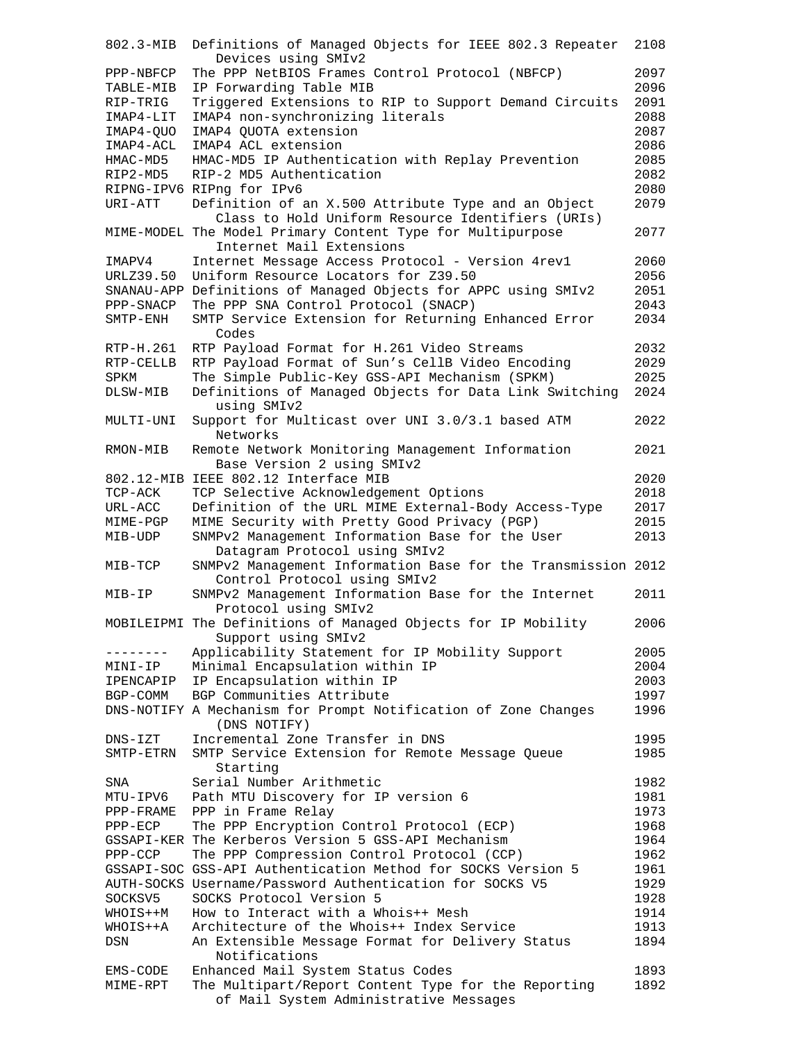| 802.3-MIB   | Definitions of Managed Objects for IEEE 802.3 Repeater         | 2108         |
|-------------|----------------------------------------------------------------|--------------|
|             | Devices using SMIv2                                            |              |
| PPP-NBFCP   | The PPP NetBIOS Frames Control Protocol (NBFCP)                | 2097         |
| TABLE-MIB   | IP Forwarding Table MIB                                        | 2096         |
| RIP-TRIG    | Triggered Extensions to RIP to Support Demand Circuits         | 2091         |
| IMAP4-LIT   | IMAP4 non-synchronizing literals                               | 2088         |
| IMAP4-OUO   | IMAP4 QUOTA extension                                          | 2087         |
| IMAP4-ACL   | IMAP4 ACL extension                                            | 2086         |
| HMAC-MD5    | HMAC-MD5 IP Authentication with Replay Prevention              | 2085         |
| RIP2-MD5    | RIP-2 MD5 Authentication                                       | 2082         |
|             | RIPNG-IPV6 RIPng for IPv6                                      | 2080         |
| URI-ATT     | Definition of an X.500 Attribute Type and an Object            | 2079         |
|             | Class to Hold Uniform Resource Identifiers (URIs)              |              |
|             | MIME-MODEL The Model Primary Content Type for Multipurpose     | 2077         |
|             | Internet Mail Extensions                                       |              |
| IMAPV4      | Internet Message Access Protocol - Version 4revl               | 2060         |
| URLZ39.50   | Uniform Resource Locators for Z39.50                           | 2056         |
|             | SNANAU-APP Definitions of Managed Objects for APPC using SMIv2 | 2051         |
| PPP-SNACP   | The PPP SNA Control Protocol (SNACP)                           | 2043         |
| SMTP-ENH    | SMTP Service Extension for Returning Enhanced Error            | 2034         |
|             | Codes                                                          |              |
| RTP-H.261   | RTP Payload Format for H.261 Video Streams                     | 2032         |
| RTP-CELLB   | RTP Payload Format of Sun's CellB Video Encoding               | 2029         |
| SPKM        | The Simple Public-Key GSS-API Mechanism (SPKM)                 | 2025         |
| DLSW-MIB    | Definitions of Managed Objects for Data Link Switching         | 2024         |
|             | using SMIv2                                                    |              |
| MULTI-UNI   | Support for Multicast over UNI 3.0/3.1 based ATM               | 2022         |
|             | Networks                                                       |              |
| RMON-MIB    | Remote Network Monitoring Management Information               | 2021         |
|             | Base Version 2 using SMIv2                                     |              |
|             | 802.12-MIB IEEE 802.12 Interface MIB                           | 2020         |
| TCP-ACK     | TCP Selective Acknowledgement Options                          | 2018         |
| URL-ACC     | Definition of the URL MIME External-Body Access-Type           | 2017         |
| MIME-PGP    | MIME Security with Pretty Good Privacy (PGP)                   | 2015         |
| MIB-UDP     | SNMPv2 Management Information Base for the User                | 2013         |
|             | Datagram Protocol using SMIv2                                  |              |
| MIB-TCP     | SNMPv2 Management Information Base for the Transmission 2012   |              |
|             | Control Protocol using SMIv2                                   |              |
| MIB-IP      | SNMPv2 Management Information Base for the Internet            | 2011         |
|             | Protocol using SMIv2                                           |              |
|             | MOBILEIPMI The Definitions of Managed Objects for IP Mobility  | 2006         |
|             | Support using SMIv2                                            |              |
|             | Applicability Statement for IP Mobility Support                | 2005         |
| MINI-IP     | Minimal Encapsulation within IP                                | 2004         |
| IPENCAPIP   | IP Encapsulation within IP                                     | 2003         |
| BGP-COMM    | BGP Communities Attribute                                      | 1997         |
|             | DNS-NOTIFY A Mechanism for Prompt Notification of Zone Changes | 1996         |
|             | (DNS NOTIFY)                                                   |              |
| $DNS - IZT$ | Incremental Zone Transfer in DNS                               | 1995         |
| SMTP-ETRN   | SMTP Service Extension for Remote Message Queue                | 1985         |
|             | Starting                                                       |              |
| SNA         | Serial Number Arithmetic                                       | 1982         |
| MTU-IPV6    | Path MTU Discovery for IP version 6                            | 1981         |
| PPP-FRAME   | PPP in Frame Relay                                             | 1973         |
| $PPP-ECP$   | The PPP Encryption Control Protocol (ECP)                      | 1968         |
|             | GSSAPI-KER The Kerberos Version 5 GSS-API Mechanism            | 1964         |
| PPP-CCP     | The PPP Compression Control Protocol (CCP)                     | 1962         |
|             | GSSAPI-SOC GSS-API Authentication Method for SOCKS Version 5   | 1961         |
|             | AUTH-SOCKS Username/Password Authentication for SOCKS V5       | 1929         |
|             | SOCKS Protocol Version 5                                       | 1928         |
| SOCKSV5     | How to Interact with a Whois++ Mesh                            | 1914         |
| WHOIS++M    | Architecture of the Whois++ Index Service                      |              |
| WHOIS++A    |                                                                | 1913         |
| DSN         | An Extensible Message Format for Delivery Status               | 1894         |
|             | Notifications                                                  |              |
| EMS-CODE    | Enhanced Mail System Status Codes                              | 1893<br>1892 |
| MIME-RPT    | The Multipart/Report Content Type for the Reporting            |              |
|             | of Mail System Administrative Messages                         |              |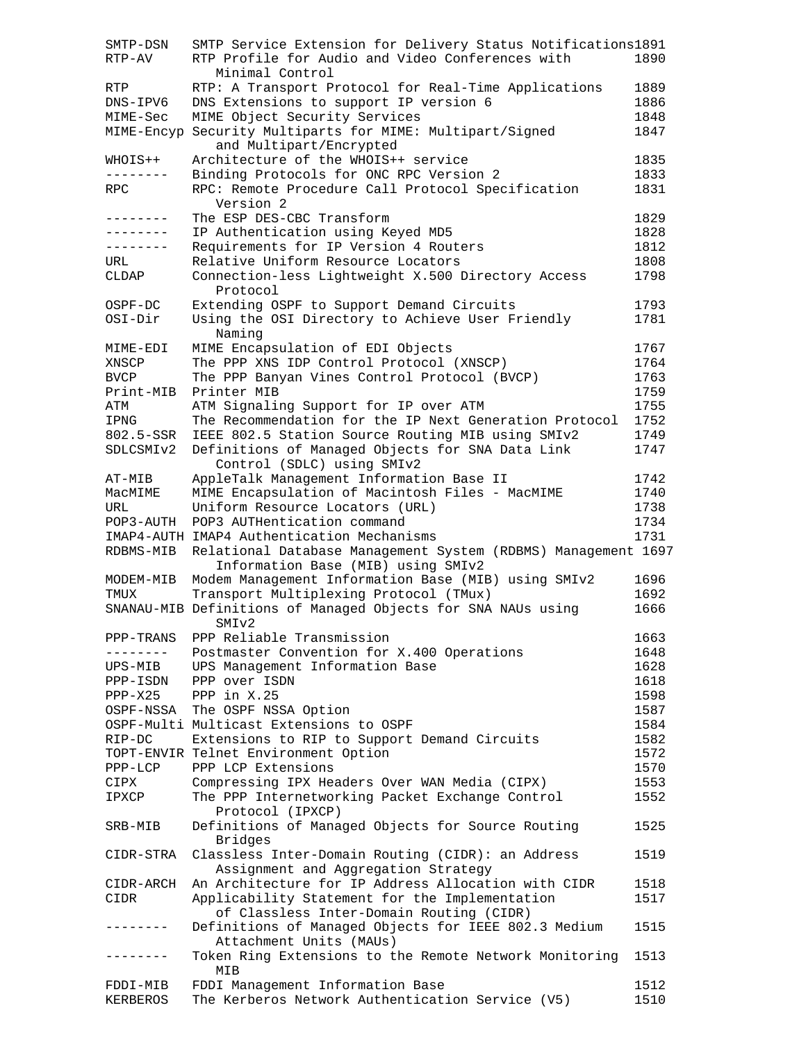| SMTP-DSN    | SMTP Service Extension for Delivery Status Notifications1891                             |      |
|-------------|------------------------------------------------------------------------------------------|------|
| RTP-AV      | RTP Profile for Audio and Video Conferences with<br>Minimal Control                      | 1890 |
| RTP         | RTP: A Transport Protocol for Real-Time Applications                                     | 1889 |
| DNS-IPV6    | DNS Extensions to support IP version 6                                                   | 1886 |
| MIME-Sec    | MIME Object Security Services                                                            | 1848 |
|             | MIME-Encyp Security Multiparts for MIME: Multipart/Signed<br>and Multipart/Encrypted     | 1847 |
| WHOIS++     | Architecture of the WHOIS++ service                                                      | 1835 |
| --------    | Binding Protocols for ONC RPC Version 2                                                  | 1833 |
| RPC         | RPC: Remote Procedure Call Protocol Specification                                        | 1831 |
|             | Version 2                                                                                |      |
| -------     | The ESP DES-CBC Transform                                                                | 1829 |
| --------    | IP Authentication using Keyed MD5                                                        | 1828 |
| --------    | Requirements for IP Version 4 Routers                                                    | 1812 |
| URL         | Relative Uniform Resource Locators                                                       | 1808 |
| CLDAP       | Connection-less Lightweight X.500 Directory Access<br>Protocol                           | 1798 |
| OSPF-DC     | Extending OSPF to Support Demand Circuits                                                | 1793 |
| OSI-Dir     | Using the OSI Directory to Achieve User Friendly<br>Naming                               | 1781 |
| MIME-EDI    | MIME Encapsulation of EDI Objects                                                        | 1767 |
| XNSCP       | The PPP XNS IDP Control Protocol (XNSCP)                                                 | 1764 |
|             |                                                                                          |      |
| <b>BVCP</b> | The PPP Banyan Vines Control Protocol (BVCP)                                             | 1763 |
| Print-MIB   | Printer MIB                                                                              | 1759 |
| ATM         | ATM Signaling Support for IP over ATM                                                    | 1755 |
| IPNG        | The Recommendation for the IP Next Generation Protocol                                   | 1752 |
| 802.5-SSR   | IEEE 802.5 Station Source Routing MIB using SMIv2                                        | 1749 |
| SDLCSMIv2   | Definitions of Managed Objects for SNA Data Link<br>Control (SDLC) using SMIv2           | 1747 |
| AT-MIB      | AppleTalk Management Information Base II                                                 | 1742 |
| MacMIME     | MIME Encapsulation of Macintosh Files - MacMIME                                          | 1740 |
| URL         | Uniform Resource Locators (URL)                                                          | 1738 |
| POP3-AUTH   | POP3 AUTHentication command                                                              | 1734 |
|             | IMAP4-AUTH IMAP4 Authentication Mechanisms                                               | 1731 |
| RDBMS-MIB   | Relational Database Management System (RDBMS) Management 1697                            |      |
|             | Information Base (MIB) using SMIv2                                                       |      |
| MODEM-MIB   | Modem Management Information Base (MIB) using SMIv2                                      | 1696 |
| TMUX        | Transport Multiplexing Protocol (TMux)                                                   | 1692 |
|             | SNANAU-MIB Definitions of Managed Objects for SNA NAUs using<br>SMIv2                    | 1666 |
| PPP-TRANS   | PPP Reliable Transmission                                                                | 1663 |
| --------    | Postmaster Convention for X.400 Operations                                               | 1648 |
| UPS-MIB     | UPS Management Information Base                                                          | 1628 |
| PPP-ISDN    | PPP over ISDN                                                                            | 1618 |
| $PPP-X25$   | PPP in X.25                                                                              | 1598 |
| OSPF-NSSA   | The OSPF NSSA Option                                                                     | 1587 |
|             | OSPF-Multi Multicast Extensions to OSPF                                                  | 1584 |
| $RIP-DC$    | Extensions to RIP to Support Demand Circuits                                             | 1582 |
|             | TOPT-ENVIR Telnet Environment Option                                                     | 1572 |
|             | PPP LCP Extensions                                                                       |      |
| $PPP-LCP$   |                                                                                          | 1570 |
| CIPX        | Compressing IPX Headers Over WAN Media (CIPX)                                            | 1553 |
| IPXCP       | The PPP Internetworking Packet Exchange Control<br>Protocol (IPXCP)                      | 1552 |
| SRB-MIB     | Definitions of Managed Objects for Source Routing<br><b>Bridges</b>                      | 1525 |
| CIDR-STRA   | Classless Inter-Domain Routing (CIDR): an Address<br>Assignment and Aggregation Strategy | 1519 |
| CIDR-ARCH   | An Architecture for IP Address Allocation with CIDR                                      | 1518 |
| CIDR        | Applicability Statement for the Implementation                                           | 1517 |
|             | of Classless Inter-Domain Routing (CIDR)                                                 |      |
| -------     | Definitions of Managed Objects for IEEE 802.3 Medium                                     | 1515 |
|             | Attachment Units (MAUs)                                                                  |      |
| . <u>.</u>  | Token Ring Extensions to the Remote Network Monitoring<br>MIB                            | 1513 |
| FDDI-MIB    | FDDI Management Information Base                                                         | 1512 |
| KERBEROS    | The Kerberos Network Authentication Service (V5)                                         | 1510 |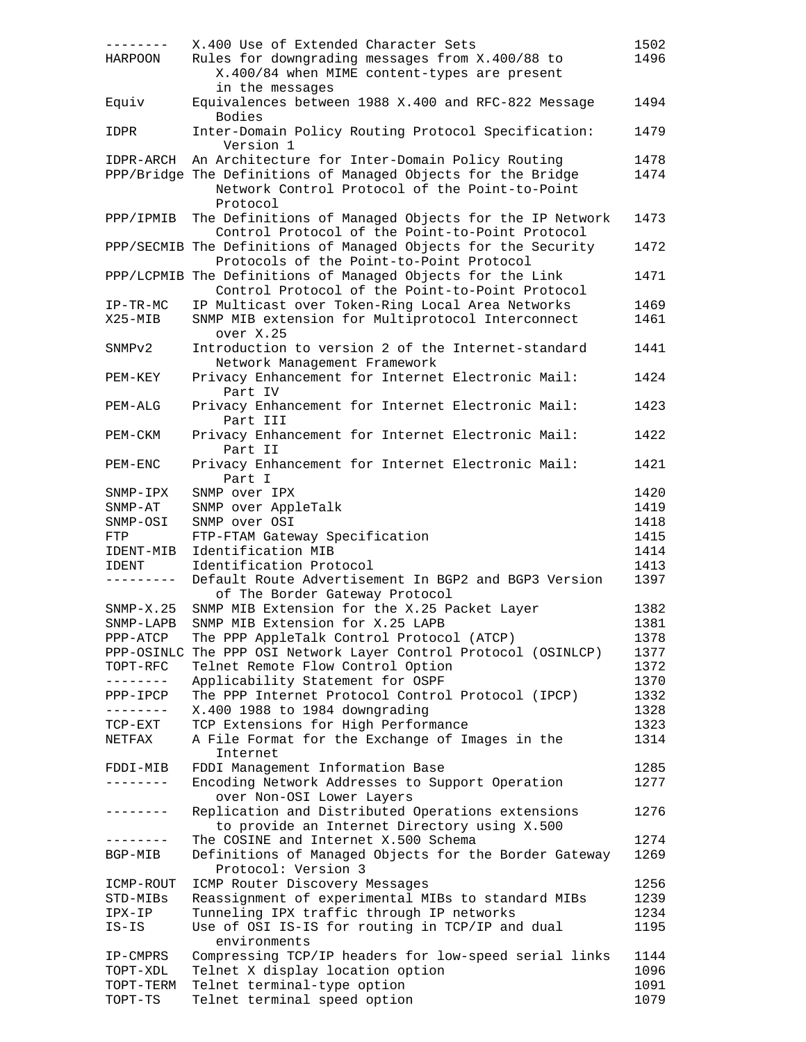|                      | X.400 Use of Extended Character Sets                            | 1502         |
|----------------------|-----------------------------------------------------------------|--------------|
| HARPOON              | Rules for downgrading messages from X.400/88 to                 | 1496         |
|                      | X.400/84 when MIME content-types are present                    |              |
|                      |                                                                 |              |
|                      | in the messages                                                 |              |
| Equiv                | Equivalences between 1988 X.400 and RFC-822 Message             | 1494         |
|                      | <b>Bodies</b>                                                   |              |
| IDPR                 | Inter-Domain Policy Routing Protocol Specification:             | 1479         |
|                      | Version 1                                                       |              |
| IDPR-ARCH            | An Architecture for Inter-Domain Policy Routing                 | 1478         |
|                      | PPP/Bridge The Definitions of Managed Objects for the Bridge    | 1474         |
|                      | Network Control Protocol of the Point-to-Point                  |              |
|                      |                                                                 |              |
|                      | Protocol                                                        |              |
| PPP/IPMIB            | The Definitions of Managed Objects for the IP Network           | 1473         |
|                      | Control Protocol of the Point-to-Point Protocol                 |              |
|                      | PPP/SECMIB The Definitions of Managed Objects for the Security  | 1472         |
|                      | Protocols of the Point-to-Point Protocol                        |              |
|                      | PPP/LCPMIB The Definitions of Managed Objects for the Link      | 1471         |
|                      | Control Protocol of the Point-to-Point Protocol                 |              |
|                      |                                                                 |              |
| $IP-TR-MC$           | IP Multicast over Token-Ring Local Area Networks                | 1469         |
| X25-MIB              | SNMP MIB extension for Multiprotocol Interconnect               | 1461         |
|                      | over X.25                                                       |              |
| SNMPv2               | Introduction to version 2 of the Internet-standard              | 1441         |
|                      | Network Management Framework                                    |              |
| PEM-KEY              | Privacy Enhancement for Internet Electronic Mail:               | 1424         |
|                      | Part IV                                                         |              |
|                      |                                                                 |              |
| PEM-ALG              | Privacy Enhancement for Internet Electronic Mail:               | 1423         |
|                      | Part III                                                        |              |
| PEM-CKM              | Privacy Enhancement for Internet Electronic Mail:               | 1422         |
|                      | Part II                                                         |              |
| PEM-ENC              | Privacy Enhancement for Internet Electronic Mail:               | 1421         |
|                      | Part I                                                          |              |
|                      | SNMP over IPX                                                   | 1420         |
| $SNNP-IPX$           |                                                                 |              |
| $SNNP-AT$            | SNMP over AppleTalk                                             | 1419         |
| SNMP-OSI             | SNMP over OSI                                                   | 1418         |
| <b>FTP</b>           | FTP-FTAM Gateway Specification                                  | 1415         |
|                      |                                                                 |              |
|                      |                                                                 | 1414         |
| IDENT-MIB            | Identification MIB                                              |              |
| IDENT                | Identification Protocol                                         | 1413         |
| ---------            | Default Route Advertisement In BGP2 and BGP3 Version            | 1397         |
|                      | of The Border Gateway Protocol                                  |              |
| $SNMP-X.25$          | SNMP MIB Extension for the X.25 Packet Layer                    | 1382         |
| SNMP-LAPB            | SNMP MIB Extension for X.25 LAPB                                | 1381         |
| PPP-ATCP             | The PPP AppleTalk Control Protocol (ATCP)                       | 1378         |
|                      |                                                                 | 1377         |
|                      | PPP-OSINLC The PPP OSI Network Layer Control Protocol (OSINLCP) |              |
| TOPT-RFC             | Telnet Remote Flow Control Option                               | 1372         |
| .                    | Applicability Statement for OSPF                                | 1370         |
| PPP-IPCP             | The PPP Internet Protocol Control Protocol (IPCP)               | 1332         |
| ---------            | X.400 1988 to 1984 downgrading                                  | 1328         |
| TCP-EXT              | TCP Extensions for High Performance                             | 1323         |
| NETFAX               |                                                                 | 1314         |
|                      | A File Format for the Exchange of Images in the                 |              |
|                      | Internet                                                        |              |
| FDDI-MIB             | FDDI Management Information Base                                | 1285         |
| -------              | Encoding Network Addresses to Support Operation                 | 1277         |
|                      | over Non-OSI Lower Layers                                       |              |
| .                    | Replication and Distributed Operations extensions               | 1276         |
|                      | to provide an Internet Directory using X.500                    |              |
| -------              |                                                                 | 1274         |
|                      | The COSINE and Internet X.500 Schema                            |              |
| BGP-MIB              | Definitions of Managed Objects for the Border Gateway           | 1269         |
|                      | Protocol: Version 3                                             |              |
| ICMP-ROUT            | ICMP Router Discovery Messages                                  | 1256         |
| STD-MIBs             | Reassignment of experimental MIBs to standard MIBs              | 1239         |
| IPX-IP               | Tunneling IPX traffic through IP networks                       | 1234         |
| $IS-IS$              | Use of OSI IS-IS for routing in TCP/IP and dual                 | 1195         |
|                      | environments                                                    |              |
|                      |                                                                 |              |
| IP-CMPRS             | Compressing TCP/IP headers for low-speed serial links           | 1144         |
| TOPT-XDL             | Telnet X display location option                                | 1096         |
| TOPT-TERM<br>TOPT-TS | Telnet terminal-type option<br>Telnet terminal speed option     | 1091<br>1079 |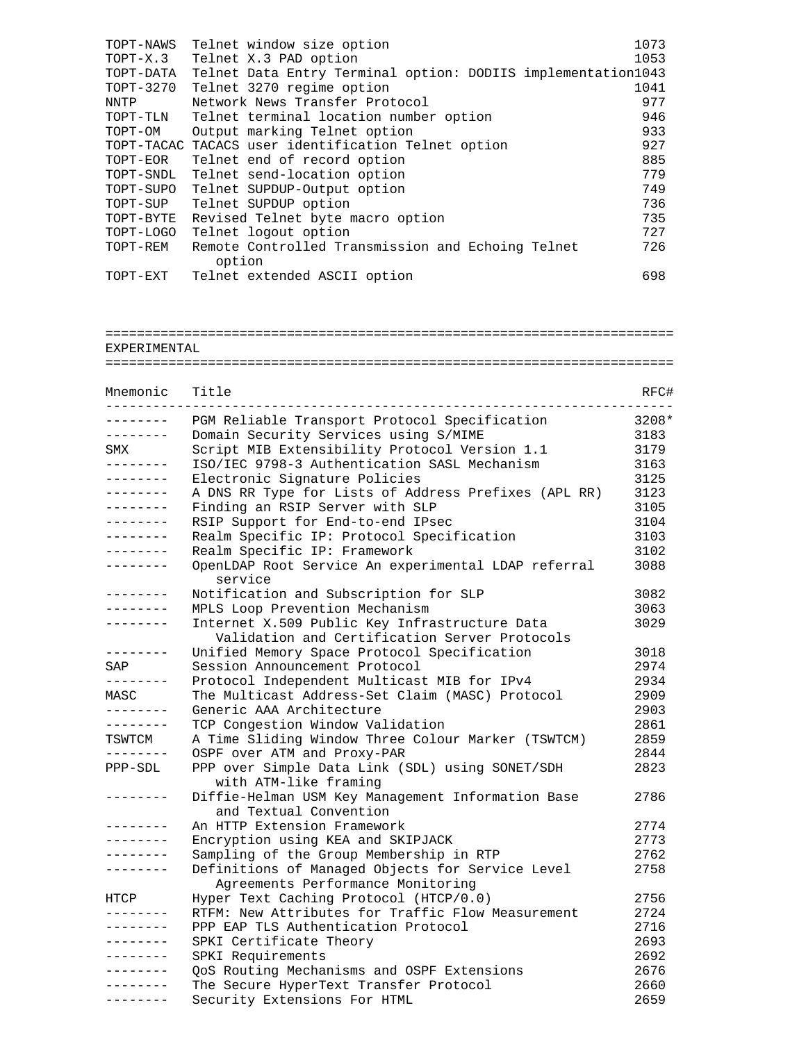| TOPT-NAWS | Telnet window size option                                    | 1073 |
|-----------|--------------------------------------------------------------|------|
| TOPT-X.3  | Telnet X.3 PAD option                                        | 1053 |
| TOPT-DATA | Telnet Data Entry Terminal option: DODIIS implementation1043 |      |
| TOPT-3270 | Telnet 3270 regime option                                    | 1041 |
| NNTP      | Network News Transfer Protocol                               | 977  |
| TOPT-TLN  | Telnet terminal location number option                       | 946  |
| TOPT-OM   | Output marking Telnet option                                 | 933  |
|           | TOPT-TACAC TACACS user identification Telnet option          | 927  |
| TOPT-EOR  | Telnet end of record option                                  | 885  |
| TOPT-SNDL | Telnet send-location option                                  | 779  |
| TOPT-SUPO | Telnet SUPDUP-Output option                                  | 749  |
| TOPT-SUP  | Telnet SUPDUP option                                         | 736  |
| TOPT-BYTE | Revised Telnet byte macro option                             | 735  |
| TOPT-LOGO | Telnet logout option                                         | 727  |
| TOPT-REM  | Remote Controlled Transmission and Echoing Telnet            | 726  |
|           | option                                                       |      |
| TOPT-EXT  | Telnet extended ASCII option                                 | 698  |

## ======================================================================== EXPERIMENTAL

## ========================================================================

| Mnemonic                  | Title                                                                                          | RFC#  |
|---------------------------|------------------------------------------------------------------------------------------------|-------|
| $- - - - - -$<br>-------- | PGM Reliable Transport Protocol Specification                                                  | 3208* |
| --------                  | Domain Security Services using S/MIME                                                          | 3183  |
| SMX                       | Script MIB Extensibility Protocol Version 1.1                                                  | 3179  |
| . <u>.</u>                | ISO/IEC 9798-3 Authentication SASL Mechanism                                                   | 3163  |
| $- - - - - - -$           | Electronic Signature Policies                                                                  | 3125  |
| -------                   | A DNS RR Type for Lists of Address Prefixes (APL RR)                                           | 3123  |
| .                         | Finding an RSIP Server with SLP                                                                | 3105  |
| .                         | RSIP Support for End-to-end IPsec                                                              | 3104  |
| --------                  | Realm Specific IP: Protocol Specification                                                      | 3103  |
| --------                  | Realm Specific IP: Framework                                                                   | 3102  |
|                           | OpenLDAP Root Service An experimental LDAP referral<br>service                                 | 3088  |
| --------                  | Notification and Subscription for SLP                                                          | 3082  |
| --------                  | MPLS Loop Prevention Mechanism                                                                 | 3063  |
| --------                  | Internet X.509 Public Key Infrastructure Data<br>Validation and Certification Server Protocols | 3029  |
| --------                  | Unified Memory Space Protocol Specification                                                    | 3018  |
| SAP                       | Session Announcement Protocol                                                                  | 2974  |
| --------                  | Protocol Independent Multicast MIB for IPv4                                                    | 2934  |
| MASC                      | The Multicast Address-Set Claim (MASC) Protocol                                                | 2909  |
| --------                  | Generic AAA Architecture                                                                       | 2903  |
| --------                  | TCP Congestion Window Validation                                                               | 2861  |
| TSWTCM                    | A Time Sliding Window Three Colour Marker (TSWTCM)                                             | 2859  |
|                           | OSPF over ATM and Proxy-PAR                                                                    | 2844  |
| PPP-SDL                   | PPP over Simple Data Link (SDL) using SONET/SDH<br>with ATM-like framing                       | 2823  |
|                           | Diffie-Helman USM Key Management Information Base<br>and Textual Convention                    | 2786  |
|                           | An HTTP Extension Framework                                                                    | 2774  |
| . <u>.</u>                | Encryption using KEA and SKIPJACK                                                              | 2773  |
| - - - - - - - -           | Sampling of the Group Membership in RTP                                                        | 2762  |
|                           | Definitions of Managed Objects for Service Level                                               | 2758  |
|                           | Agreements Performance Monitoring                                                              |       |
| HTCP                      | Hyper Text Caching Protocol (HTCP/0.0)                                                         | 2756  |
|                           | RTFM: New Attributes for Traffic Flow Measurement                                              | 2724  |
| ---------                 | PPP EAP TLS Authentication Protocol                                                            | 2716  |

| RIFM: New Attributes for Iraffic Flow Measurement | 2.124 |
|---------------------------------------------------|-------|
| PPP EAP TLS Authentication Protocol               | 2716  |
| SPKI Certificate Theory                           | 2693  |
| SPKI Requirements                                 | 2692  |
| OoS Routing Mechanisms and OSPF Extensions        | 2676  |
| The Secure HyperText Transfer Protocol            | 2660  |
| Security Extensions For HTML                      | 2659  |
|                                                   |       |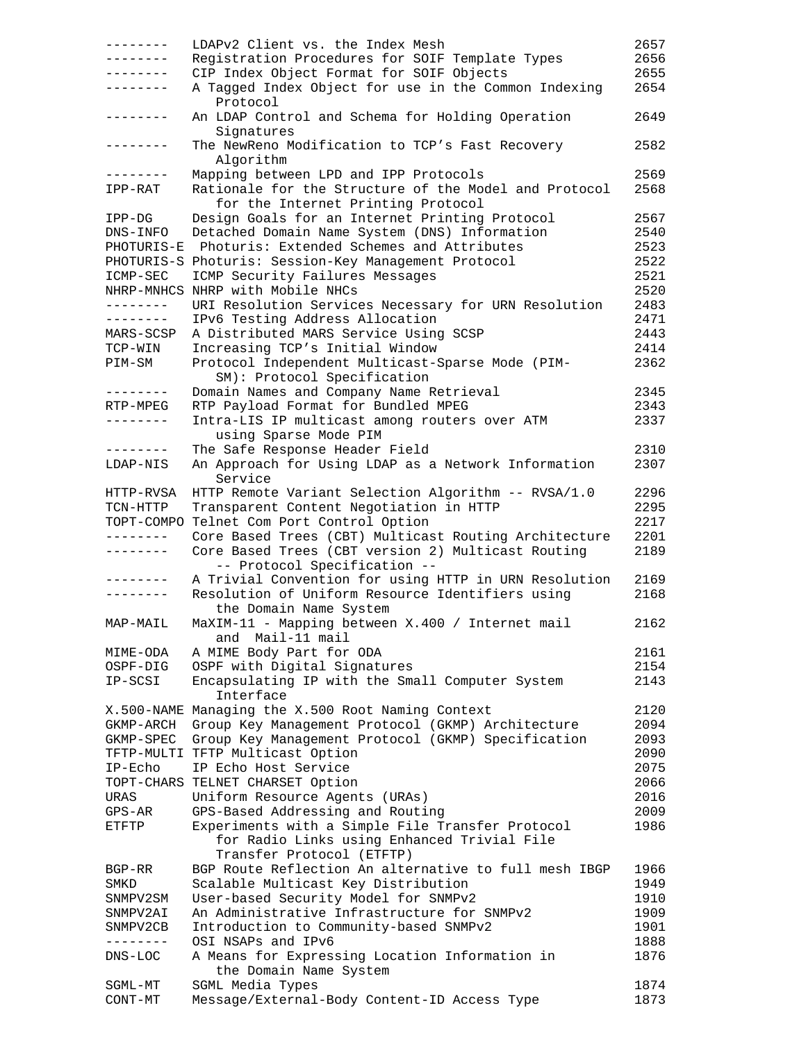| ---------         | LDAPv2 Client vs. the Index Mesh                                                            | 2657 |
|-------------------|---------------------------------------------------------------------------------------------|------|
| . _ _ _ _ _ _ _   | Registration Procedures for SOIF Template Types                                             | 2656 |
| . <u>.</u> .      | CIP Index Object Format for SOIF Objects                                                    | 2655 |
| --------          | A Tagged Index Object for use in the Common Indexing<br>Protocol                            | 2654 |
| --------          | An LDAP Control and Schema for Holding Operation<br>Signatures                              | 2649 |
| . <u>.</u>        | The NewReno Modification to TCP's Fast Recovery<br>Algorithm                                | 2582 |
| .                 | Mapping between LPD and IPP Protocols                                                       | 2569 |
| IPP-RAT           | Rationale for the Structure of the Model and Protocol<br>for the Internet Printing Protocol | 2568 |
| $IPP-DG$          | Design Goals for an Internet Printing Protocol                                              | 2567 |
| DNS-INFO          | Detached Domain Name System (DNS) Information                                               | 2540 |
| PHOTURIS-E        | Photuris: Extended Schemes and Attributes                                                   | 2523 |
|                   | PHOTURIS-S Photuris: Session-Key Management Protocol                                        | 2522 |
| ICMP-SEC          | ICMP Security Failures Messages                                                             | 2521 |
|                   | NHRP-MNHCS NHRP with Mobile NHCs                                                            | 2520 |
| --------          | URI Resolution Services Necessary for URN Resolution                                        | 2483 |
| --------          | IPv6 Testing Address Allocation                                                             | 2471 |
| MARS-SCSP         | A Distributed MARS Service Using SCSP                                                       | 2443 |
| TCP-WIN           | Increasing TCP's Initial Window                                                             | 2414 |
| PIM-SM            | Protocol Independent Multicast-Sparse Mode (PIM-<br>SM): Protocol Specification             | 2362 |
| . <u>.</u> .      | Domain Names and Company Name Retrieval                                                     | 2345 |
| RTP-MPEG          | RTP Payload Format for Bundled MPEG                                                         | 2343 |
| - - - - - - - -   | Intra-LIS IP multicast among routers over ATM<br>using Sparse Mode PIM                      | 2337 |
| --------          | The Safe Response Header Field                                                              | 2310 |
| LDAP-NIS          | An Approach for Using LDAP as a Network Information<br>Service                              | 2307 |
| HTTP-RVSA         | HTTP Remote Variant Selection Algorithm -- RVSA/1.0                                         | 2296 |
| TCN-HTTP          | Transparent Content Negotiation in HTTP                                                     | 2295 |
| TOPT-COMPO        | Telnet Com Port Control Option                                                              | 2217 |
| --------          | Core Based Trees (CBT) Multicast Routing Architecture                                       | 2201 |
| . <u>.</u>        | Core Based Trees (CBT version 2) Multicast Routing<br>-- Protocol Specification --          | 2189 |
| --------          | A Trivial Convention for using HTTP in URN Resolution                                       | 2169 |
| --------          | Resolution of Uniform Resource Identifiers using<br>the Domain Name System                  | 2168 |
| MAP-MAIL          | MaXIM-11 - Mapping between X.400 / Internet mail<br>and Mail-11 mail                        | 2162 |
| MIME-ODA          | A MIME Body Part for ODA                                                                    | 2161 |
| OSPF-DIG          | OSPF with Digital Signatures                                                                | 2154 |
| IP-SCSI           | Encapsulating IP with the Small Computer System                                             | 2143 |
|                   | Interface                                                                                   |      |
|                   | X.500-NAME Managing the X.500 Root Naming Context                                           | 2120 |
| GKMP-ARCH         | Group Key Management Protocol (GKMP) Architecture                                           | 2094 |
| GKMP-SPEC         | Group Key Management Protocol (GKMP) Specification                                          | 2093 |
|                   | TFTP-MULTI TFTP Multicast Option                                                            | 2090 |
| $IP-ECho$         | IP Echo Host Service                                                                        | 2075 |
|                   | TOPT-CHARS TELNET CHARSET Option                                                            | 2066 |
| URAS              | Uniform Resource Agents (URAs)                                                              | 2016 |
| GPS-AR            | GPS-Based Addressing and Routing                                                            | 2009 |
| ETFTP             | Experiments with a Simple File Transfer Protocol                                            | 1986 |
|                   | for Radio Links using Enhanced Trivial File<br>Transfer Protocol (ETFTP)                    |      |
| BGP-RR            | BGP Route Reflection An alternative to full mesh IBGP                                       | 1966 |
| SMKD              | Scalable Multicast Key Distribution                                                         | 1949 |
| SNMPV2SM          | User-based Security Model for SNMPv2                                                        | 1910 |
| SNMPV2AI          | An Administrative Infrastructure for SNMPv2                                                 | 1909 |
| SNMPV2CB          | Introduction to Community-based SNMPv2                                                      | 1901 |
| $- - - - - - - -$ | OSI NSAPs and IPv6                                                                          | 1888 |
| DNS-LOC           | A Means for Expressing Location Information in<br>the Domain Name System                    | 1876 |
| SGML-MT           | SGML Media Types                                                                            | 1874 |
| CONT-MT           | Message/External-Body Content-ID Access Type                                                | 1873 |
|                   |                                                                                             |      |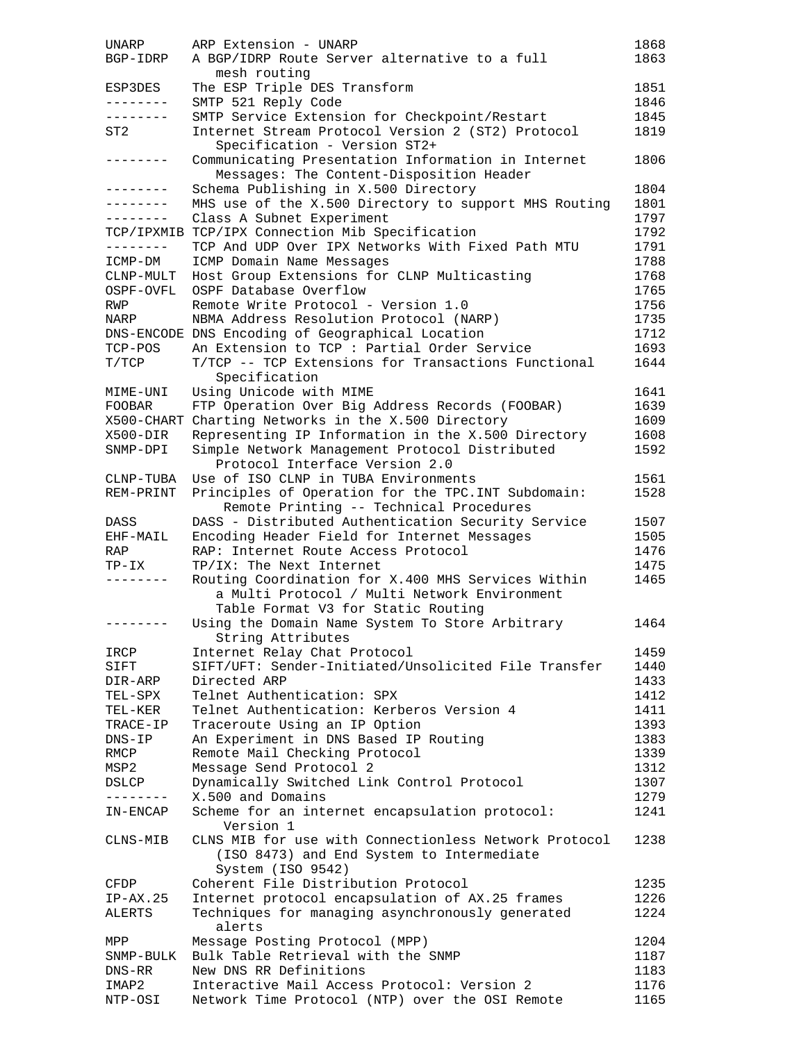| UNARP             | ARP Extension - UNARP                                 | 1868 |
|-------------------|-------------------------------------------------------|------|
| BGP-IDRP          | A BGP/IDRP Route Server alternative to a full         | 1863 |
|                   | mesh routing                                          |      |
| ESP3DES           | The ESP Triple DES Transform                          | 1851 |
| --------          |                                                       | 1846 |
|                   | SMTP 521 Reply Code                                   |      |
| --------          | SMTP Service Extension for Checkpoint/Restart         | 1845 |
| ST2               | Internet Stream Protocol Version 2 (ST2) Protocol     | 1819 |
|                   | Specification - Version ST2+                          |      |
| $- - - - - - - -$ | Communicating Presentation Information in Internet    | 1806 |
|                   | Messages: The Content-Disposition Header              |      |
| ---------         | Schema Publishing in X.500 Directory                  | 1804 |
| .                 | MHS use of the X.500 Directory to support MHS Routing | 1801 |
| --------          | Class A Subnet Experiment                             | 1797 |
|                   | TCP/IPXMIB TCP/IPX Connection Mib Specification       | 1792 |
|                   |                                                       |      |
| --------          | TCP And UDP Over IPX Networks With Fixed Path MTU     | 1791 |
| ICMP-DM           | ICMP Domain Name Messages                             | 1788 |
| CLNP-MULT         | Host Group Extensions for CLNP Multicasting           | 1768 |
| OSPF-OVFL         | OSPF Database Overflow                                | 1765 |
| RWP               | Remote Write Protocol - Version 1.0                   | 1756 |
| NARP              | NBMA Address Resolution Protocol (NARP)               | 1735 |
|                   | DNS-ENCODE DNS Encoding of Geographical Location      | 1712 |
| TCP-POS           | An Extension to TCP : Partial Order Service           | 1693 |
|                   | T/TCP -- TCP Extensions for Transactions Functional   | 1644 |
| T/TCP             |                                                       |      |
|                   | Specification                                         |      |
| MIME-UNI          | Using Unicode with MIME                               | 1641 |
| FOOBAR            | FTP Operation Over Big Address Records (FOOBAR)       | 1639 |
|                   | X500-CHART Charting Networks in the X.500 Directory   | 1609 |
| X500-DIR          | Representing IP Information in the X.500 Directory    | 1608 |
| SNMP-DPI          | Simple Network Management Protocol Distributed        | 1592 |
|                   | Protocol Interface Version 2.0                        |      |
| CLNP-TUBA         | Use of ISO CLNP in TUBA Environments                  | 1561 |
| REM-PRINT         |                                                       | 1528 |
|                   | Principles of Operation for the TPC. INT Subdomain:   |      |
|                   | Remote Printing -- Technical Procedures               |      |
| DASS              | DASS - Distributed Authentication Security Service    | 1507 |
| EHF-MAIL          | Encoding Header Field for Internet Messages           | 1505 |
| RAP               | RAP: Internet Route Access Protocol                   | 1476 |
| $TP-IX$           | TP/IX: The Next Internet                              | 1475 |
| --------          | Routing Coordination for X.400 MHS Services Within    | 1465 |
|                   | a Multi Protocol / Multi Network Environment          |      |
|                   | Table Format V3 for Static Routing                    |      |
|                   | Using the Domain Name System To Store Arbitrary       | 1464 |
|                   |                                                       |      |
|                   | String Attributes                                     |      |
| IRCP              | Internet Relay Chat Protocol                          | 1459 |
| SIFT              | SIFT/UFT: Sender-Initiated/Unsolicited File Transfer  | 1440 |
| DIR-ARP           | Directed ARP                                          | 1433 |
| TEL-SPX           | Telnet Authentication: SPX                            | 1412 |
| TEL-KER           | Telnet Authentication: Kerberos Version 4             | 1411 |
| TRACE-IP          | Traceroute Using an IP Option                         | 1393 |
| $DNS-IP$          | An Experiment in DNS Based IP Routing                 | 1383 |
| RMCP              |                                                       |      |
|                   | Remote Mail Checking Protocol                         | 1339 |
| MSP2              | Message Send Protocol 2                               | 1312 |
| DSLCP             | Dynamically Switched Link Control Protocol            | 1307 |
| --------          | X.500 and Domains                                     | 1279 |
| IN-ENCAP          | Scheme for an internet encapsulation protocol:        | 1241 |
|                   | Version 1                                             |      |
| CLNS-MIB          | CLNS MIB for use with Connectionless Network Protocol | 1238 |
|                   | (ISO 8473) and End System to Intermediate             |      |
|                   | System (ISO 9542)                                     |      |
| CFDP              | Coherent File Distribution Protocol                   | 1235 |
|                   |                                                       |      |
| $IP-AX.25$        | Internet protocol encapsulation of AX.25 frames       | 1226 |
| ALERTS            | Techniques for managing asynchronously generated      | 1224 |
|                   | alerts                                                |      |
| MPP               | Message Posting Protocol (MPP)                        | 1204 |
| SNMP-BULK         | Bulk Table Retrieval with the SNMP                    | 1187 |
| DNS-RR            | New DNS RR Definitions                                | 1183 |
| IMAP2             | Interactive Mail Access Protocol: Version 2           | 1176 |
| NTP-OSI           | Network Time Protocol (NTP) over the OSI Remote       | 1165 |
|                   |                                                       |      |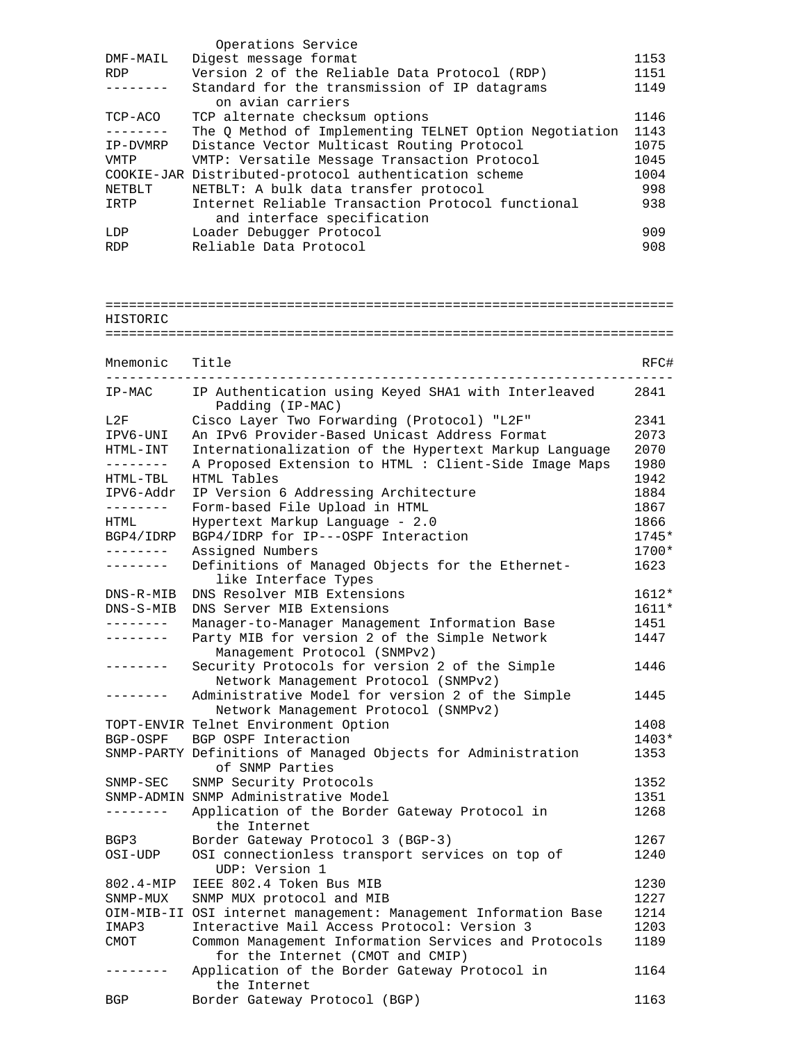|            | Operations Service                                     |      |
|------------|--------------------------------------------------------|------|
| DMF-MAIL   | Digest message format                                  | 1153 |
| <b>RDP</b> | Version 2 of the Reliable Data Protocol (RDP)          | 1151 |
|            | Standard for the transmission of IP datagrams          | 1149 |
|            | on avian carriers                                      |      |
| TCP-ACO    | TCP alternate checksum options                         | 1146 |
|            | The O Method of Implementing TELNET Option Negotiation | 1143 |
| IP-DVMRP   | Distance Vector Multicast Routing Protocol             | 1075 |
| VMTP       | VMTP: Versatile Message Transaction Protocol           | 1045 |
|            | COOKIE-JAR Distributed-protocol authentication scheme  | 1004 |
| NETBLT     | NETBLT: A bulk data transfer protocol                  | 998  |
| IRTP       | Internet Reliable Transaction Protocol functional      | 938  |
|            | and interface specification                            |      |
| LDP        | Loader Debugger Protocol                               | 909  |
| <b>RDP</b> | Reliable Data Protocol                                 | 908  |

======================================================================== HISTORIC ======================================================================== Mnemonic Title RFC# ------------------------------------------------------------------------ IP-MAC IP Authentication using Keyed SHA1 with Interleaved 2841 Padding (IP-MAC) L2F Cisco Layer Two Forwarding (Protocol) "L2F" 2341 IPV6-UNI An IPv6 Provider-Based Unicast Address Format 2073 HTML-INT Internationalization of the Hypertext Markup Language 2070 -------- A Proposed Extension to HTML : Client-Side Image Maps 1980 HTML-TBL HTML Tables 1942 IPV6-Addr IP Version 6 Addressing Architecture 1884 -------- Form-based File Upload in HTML 1867 HTML Hypertext Markup Language - 2.0 1866 BGP4/IDRP BGP4/IDRP for IP---OSPF Interaction 1745\* -------- Assigned Numbers 1700\* -------- Definitions of Managed Objects for the Ethernet- 1623 like Interface Types DNS-R-MIB DNS Resolver MIB Extensions 1612\* DNS-S-MIB DNS Server MIB Extensions 1611\* -------- Manager-to-Manager Management Information Base 1451 -------- Party MIB for version 2 of the Simple Network 1447 Management Protocol (SNMPv2) Security Protocols for version 2 of the Simple 1446 Network Management Protocol (SNMPv2) -------- Administrative Model for version 2 of the Simple 1445 Network Management Protocol (SNMPv2) TOPT-ENVIR Telnet Environment Option 1408 BGP-OSPF BGP OSPF Interaction 1403\* SNMP-PARTY Definitions of Managed Objects for Administration 1353 of SNMP Parties SNMP-SEC SNMP Security Protocols 1352 SNMP-ADMIN SNMP Administrative Model 1351 -------- Application of the Border Gateway Protocol in 1268 the Internet BGP3 Border Gateway Protocol 3 (BGP-3) 1267 OSI-UDP OSI connectionless transport services on top of 1240 UDP: Version 1 802.4-MIP IEEE 802.4 Token Bus MIB 1230 SNMP-MUX SNMP MUX protocol and MIB 1227 OIM-MIB-II OSI internet management: Management Information Base 1214 IMAP3 Interactive Mail Access Protocol: Version 3 1203 CMOT Common Management Information Services and Protocols 1189 for the Internet (CMOT and CMIP) -------- Application of the Border Gateway Protocol in 1164 the Internet BGP Border Gateway Protocol (BGP) 1163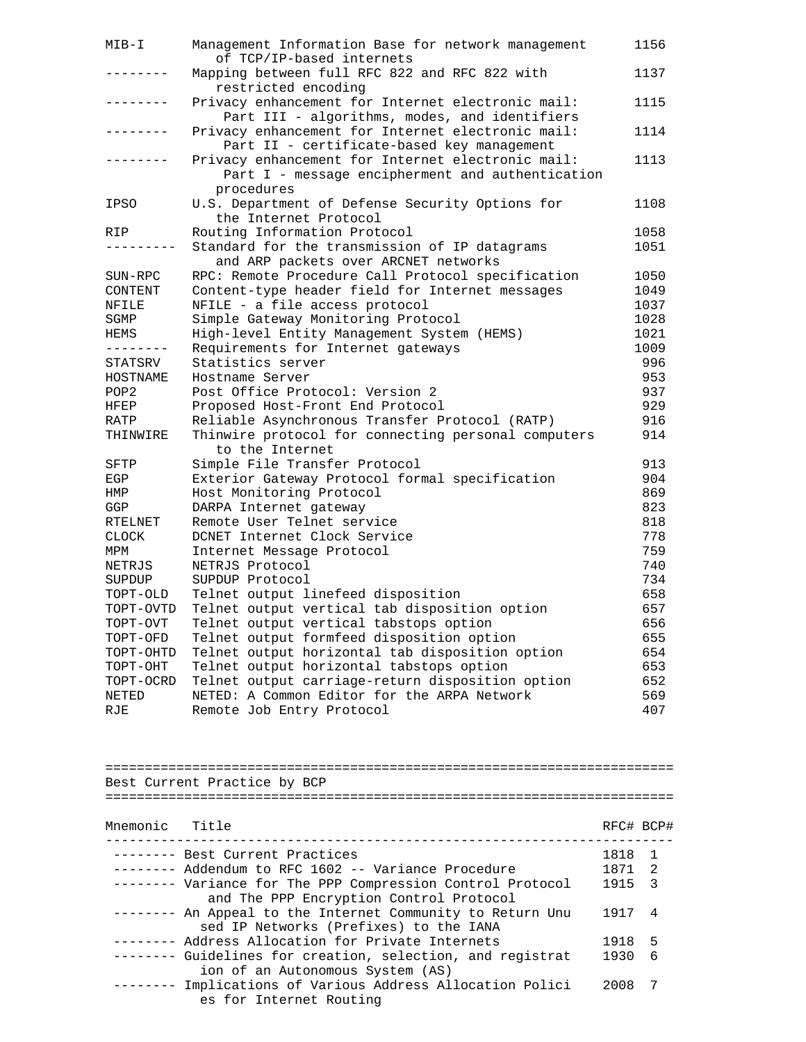| MIB-I            | Management Information Base for network management<br>of TCP/IP-based internets                                   |              | 1156   |
|------------------|-------------------------------------------------------------------------------------------------------------------|--------------|--------|
| . _ _ _ _ _ _ _  | Mapping between full RFC 822 and RFC 822 with                                                                     |              | 1137   |
| . _ _ _ _ _ _ _  | restricted encoding<br>Privacy enhancement for Internet electronic mail:                                          |              | 1115   |
|                  | Part III - algorithms, modes, and identifiers<br>Privacy enhancement for Internet electronic mail:                |              | 1114   |
| --------         | Part II - certificate-based key management<br>Privacy enhancement for Internet electronic mail:                   |              | 1113   |
|                  | Part I - message encipherment and authentication<br>procedures                                                    |              |        |
| <b>IPSO</b>      | U.S. Department of Defense Security Options for<br>the Internet Protocol                                          |              | 1108   |
| RIP              | Routing Information Protocol                                                                                      |              | 1058   |
| ---------        | Standard for the transmission of IP datagrams<br>and ARP packets over ARCNET networks                             |              | 1051   |
| SUN-RPC          | RPC: Remote Procedure Call Protocol specification                                                                 |              | 1050   |
| CONTENT          | Content-type header field for Internet messages                                                                   |              | 1049   |
| NFILE            | NFILE - a file access protocol                                                                                    |              | 1037   |
|                  |                                                                                                                   |              | 1028   |
| SGMP             | Simple Gateway Monitoring Protocol                                                                                |              |        |
| HEMS             | High-level Entity Management System (HEMS)                                                                        |              | 1021   |
| --------         | Requirements for Internet gateways                                                                                |              | 1009   |
| STATSRV          | Statistics server                                                                                                 |              | 996    |
| HOSTNAME         | Hostname Server                                                                                                   |              | 953    |
| POP <sub>2</sub> | Post Office Protocol: Version 2                                                                                   |              | 937    |
| HFEP             | Proposed Host-Front End Protocol                                                                                  |              | 929    |
| RATP             | Reliable Asynchronous Transfer Protocol (RATP)                                                                    |              | 916    |
| THINWIRE         | Thinwire protocol for connecting personal computers<br>to the Internet                                            |              | 914    |
| SFTP             | Simple File Transfer Protocol                                                                                     |              | 913    |
| EGP              | Exterior Gateway Protocol formal specification                                                                    |              | 904    |
| HMP              | Host Monitoring Protocol                                                                                          |              | 869    |
| GGP              | DARPA Internet gateway                                                                                            |              | 823    |
|                  |                                                                                                                   |              |        |
| RTELNET          | Remote User Telnet service                                                                                        |              | 818    |
| <b>CLOCK</b>     | DCNET Internet Clock Service                                                                                      |              | 778    |
| MPM              | Internet Message Protocol                                                                                         |              | 759    |
| NETRJS           | NETRJS Protocol                                                                                                   |              | 740    |
| SUPDUP           | SUPDUP Protocol                                                                                                   |              | 734    |
| TOPT-OLD         | Telnet output linefeed disposition                                                                                |              | 658    |
| TOPT-OVTD        | Telnet output vertical tab disposition option                                                                     |              | 657    |
| TOPT-OVT         | Telnet output vertical tabstops option                                                                            |              | 656    |
| TOPT-OFD         | Telnet output formfeed disposition option                                                                         |              | 655    |
| TOPT-OHTD        | Telnet output horizontal tab disposition option                                                                   |              | 654    |
| TOPT-OHT         | Telnet output horizontal tabstops option                                                                          |              | 653    |
| TOPT-OCRD        | Telnet output carriage-return disposition option                                                                  |              | 652    |
| NETED            | NETED: A Common Editor for the ARPA Network                                                                       |              | 569    |
| RJE              | Remote Job Entry Protocol                                                                                         |              | 407    |
|                  |                                                                                                                   |              |        |
|                  |                                                                                                                   |              |        |
|                  |                                                                                                                   |              |        |
|                  | Best Current Practice by BCP                                                                                      |              |        |
|                  |                                                                                                                   |              |        |
| Mnemonic         | Title                                                                                                             | RFC# BCP#    |        |
|                  | -------- Best Current Practices                                                                                   |              | 1      |
|                  |                                                                                                                   | 1818         |        |
|                  | -------- Addendum to RFC 1602 -- Variance Procedure<br>-------- Variance for The PPP Compression Control Protocol | 1871<br>1915 | 2<br>3 |
|                  | and The PPP Encryption Control Protocol<br>-------- An Appeal to the Internet Community to Return Unu             | 1917         | 4      |
|                  | sed IP Networks (Prefixes) to the IANA                                                                            |              |        |
|                  | -------- Address Allocation for Private Internets                                                                 | 1918         | 5      |
|                  | -------- Guidelines for creation, selection, and registrat                                                        | 1930         | 6      |
| --------         | ion of an Autonomous System (AS)<br>Implications of Various Address Allocation Polici<br>es for Internet Routing  | 2008         | 7      |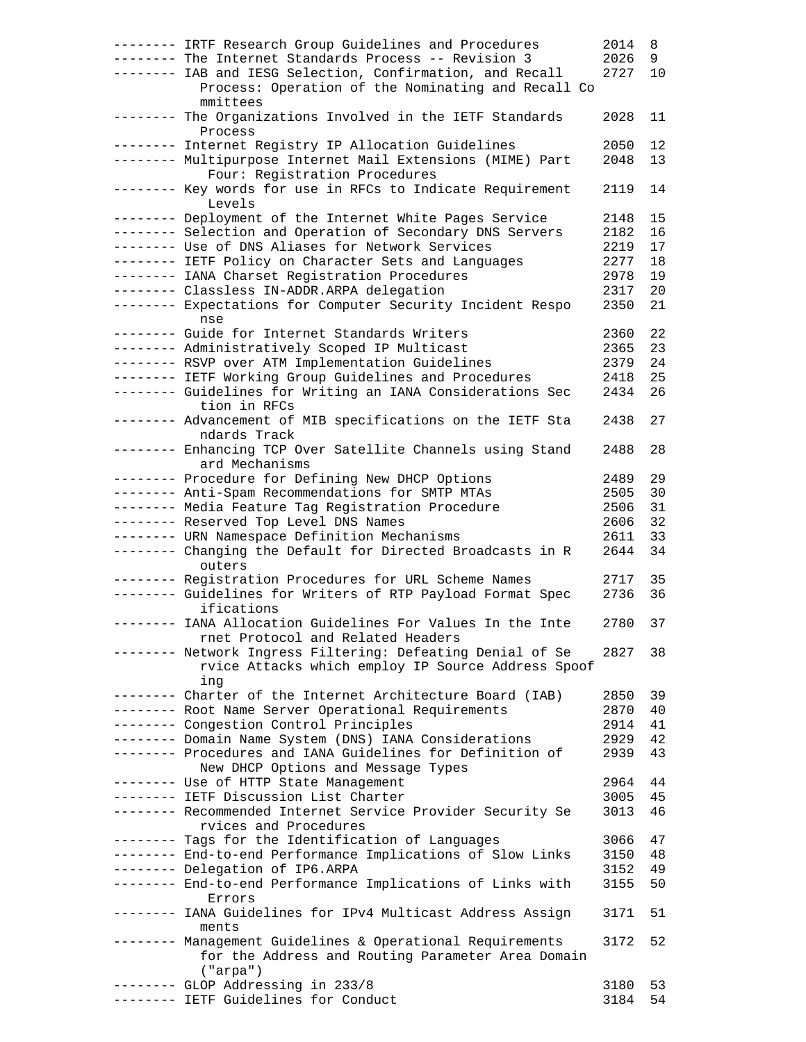| -------- IRTF Research Group Guidelines and Procedures                                                         | 2014 | 8  |
|----------------------------------------------------------------------------------------------------------------|------|----|
| -------- The Internet Standards Process -- Revision 3                                                          | 2026 | 9  |
| -------- IAB and IESG Selection, Confirmation, and Recall                                                      | 2727 | 10 |
| Process: Operation of the Nominating and Recall Co                                                             |      |    |
| mmittees                                                                                                       |      |    |
| -------- The Organizations Involved in the IETF Standards<br>Process                                           | 2028 | 11 |
| -------- Internet Registry IP Allocation Guidelines                                                            | 2050 | 12 |
| -------- Multipurpose Internet Mail Extensions (MIME) Part                                                     | 2048 | 13 |
| Four: Registration Procedures                                                                                  |      |    |
| -------- Key words for use in RFCs to Indicate Requirement                                                     | 2119 | 14 |
| Levels                                                                                                         |      |    |
| -------- Deployment of the Internet White Pages Service                                                        | 2148 | 15 |
| -------- Selection and Operation of Secondary DNS Servers                                                      | 2182 | 16 |
| -------- Use of DNS Aliases for Network Services                                                               | 2219 | 17 |
| -------- IETF Policy on Character Sets and Languages                                                           | 2277 | 18 |
| -------- IANA Charset Registration Procedures                                                                  | 2978 | 19 |
| -------- Classless IN-ADDR.ARPA delegation                                                                     | 2317 | 20 |
| -------- Expectations for Computer Security Incident Respo<br>nse                                              | 2350 | 21 |
| -------- Guide for Internet Standards Writers                                                                  | 2360 | 22 |
| -------- Administratively Scoped IP Multicast                                                                  | 2365 | 23 |
| -------- RSVP over ATM Implementation Guidelines                                                               | 2379 | 24 |
| -------- IETF Working Group Guidelines and Procedures                                                          | 2418 | 25 |
| -------- Guidelines for Writing an IANA Considerations Sec                                                     | 2434 | 26 |
| tion in RFCs                                                                                                   |      |    |
| -------- Advancement of MIB specifications on the IETF Sta                                                     | 2438 | 27 |
| ndards Track<br>-------- Enhancing TCP Over Satellite Channels using Stand                                     |      |    |
| ard Mechanisms                                                                                                 | 2488 | 28 |
| -------- Procedure for Defining New DHCP Options                                                               | 2489 | 29 |
| -------- Anti-Spam Recommendations for SMTP MTAs                                                               | 2505 | 30 |
| -------- Media Feature Tag Registration Procedure                                                              | 2506 | 31 |
| -------- Reserved Top Level DNS Names                                                                          | 2606 | 32 |
| -------- URN Namespace Definition Mechanisms                                                                   | 2611 | 33 |
| -------- Changing the Default for Directed Broadcasts in R                                                     | 2644 | 34 |
| outers                                                                                                         |      |    |
| -------- Registration Procedures for URL Scheme Names                                                          | 2717 | 35 |
| -------- Guidelines for Writers of RTP Payload Format Spec                                                     | 2736 | 36 |
| ifications                                                                                                     |      |    |
| -------- IANA Allocation Guidelines For Values In the Inte                                                     | 2780 | 37 |
| rnet Protocol and Related Headers                                                                              |      |    |
| -------- Network Ingress Filtering: Defeating Denial of Se                                                     | 2827 | 38 |
| rvice Attacks which employ IP Source Address Spoof                                                             |      |    |
| ing<br>-------- Charter of the Internet Architecture Board (IAB)                                               | 2850 | 39 |
| -------- Root Name Server Operational Requirements                                                             | 2870 | 40 |
| -------- Congestion Control Principles                                                                         | 2914 | 41 |
| -------- Domain Name System (DNS) IANA Considerations                                                          | 2929 | 42 |
| -------- Procedures and IANA Guidelines for Definition of                                                      | 2939 | 43 |
| New DHCP Options and Message Types                                                                             |      |    |
| -------- Use of HTTP State Management                                                                          | 2964 | 44 |
| -------- IETF Discussion List Charter                                                                          | 3005 | 45 |
| -------- Recommended Internet Service Provider Security Se                                                     | 3013 | 46 |
| rvices and Procedures                                                                                          |      |    |
| -------- Tags for the Identification of Languages                                                              | 3066 | 47 |
| -------- End-to-end Performance Implications of Slow Links                                                     | 3150 | 48 |
| -------- Delegation of IP6.ARPA                                                                                | 3152 | 49 |
| -------- End-to-end Performance Implications of Links with                                                     | 3155 | 50 |
|                                                                                                                |      |    |
| Errors                                                                                                         |      |    |
| -------- IANA Guidelines for IPv4 Multicast Address Assign                                                     | 3171 | 51 |
| ments                                                                                                          | 3172 | 52 |
| -------- Management Guidelines & Operational Requirements<br>for the Address and Routing Parameter Area Domain |      |    |
| ("arpa")                                                                                                       |      |    |
| -------- GLOP Addressing in 233/8<br>-------- IETF Guidelines for Conduct                                      | 3180 | 53 |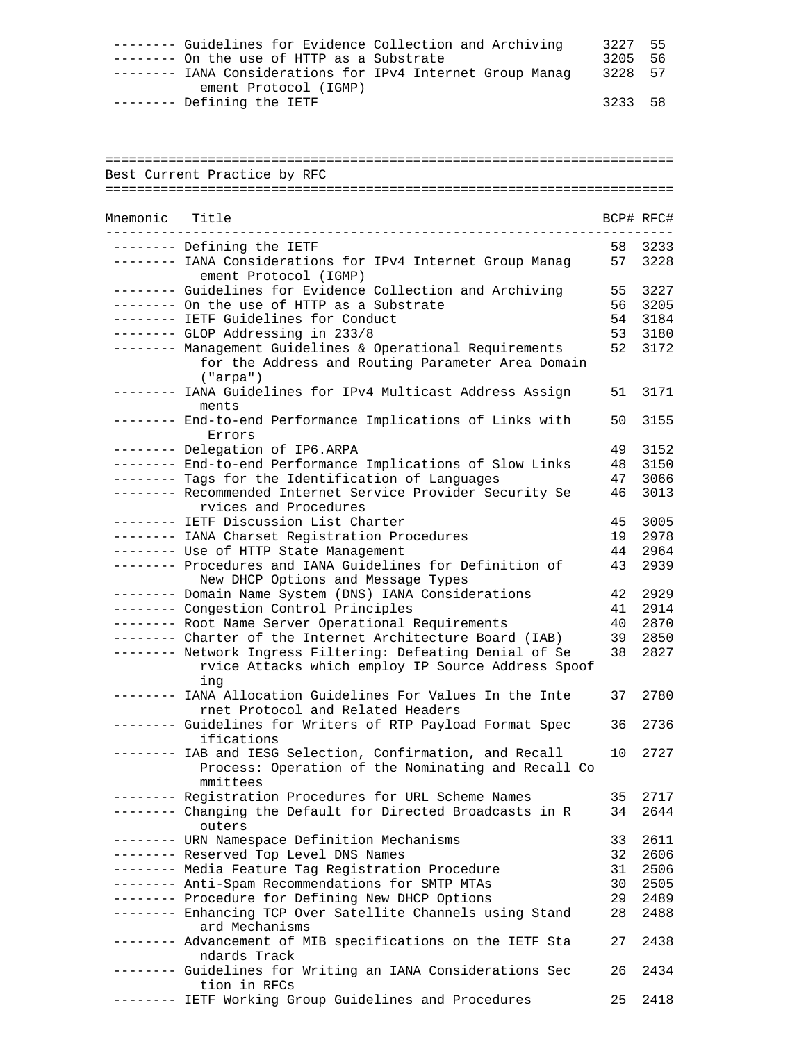| -------- Guidelines for Evidence Collection and Archiving  | 3227 55 |  |
|------------------------------------------------------------|---------|--|
| $------$ On the use of HTTP as a Substrate                 | 3205 56 |  |
| -------- IANA Considerations for IPv4 Internet Group Manag | 3228 57 |  |
| ement Protocol (IGMP)                                      |         |  |
| -------- Defining the IETF                                 | 3233 58 |  |

| Best Current Practice by RFC |                                                                                                                             |           |      |
|------------------------------|-----------------------------------------------------------------------------------------------------------------------------|-----------|------|
|                              |                                                                                                                             |           |      |
| Mnemonic Title               |                                                                                                                             | BCP# RFC# |      |
|                              | -------- Defining the IETF                                                                                                  | 58        | 3233 |
|                              | -------- IANA Considerations for IPv4 Internet Group Manag<br>ement Protocol (IGMP)                                         | 57        | 3228 |
|                              | -------- Guidelines for Evidence Collection and Archiving                                                                   | 55        | 3227 |
|                              | -------- On the use of HTTP as a Substrate                                                                                  | 56        | 3205 |
|                              | -------- IETF Guidelines for Conduct                                                                                        | 54        | 3184 |
|                              | -------- GLOP Addressing in 233/8                                                                                           | 53        | 3180 |
|                              | -------- Management Guidelines & Operational Requirements<br>for the Address and Routing Parameter Area Domain<br>("arga")  | 52        | 3172 |
|                              | -------- IANA Guidelines for IPv4 Multicast Address Assign<br>ments                                                         | 51        | 3171 |
|                              | -------- End-to-end Performance Implications of Links with<br>Errors                                                        | 50        | 3155 |
|                              | -------- Delegation of IP6.ARPA                                                                                             | 49        | 3152 |
|                              | -------- End-to-end Performance Implications of Slow Links                                                                  | 48        | 3150 |
|                              | -------- Tags for the Identification of Languages                                                                           | 47        | 3066 |
|                              | -------- Recommended Internet Service Provider Security Se<br>rvices and Procedures                                         | 46        | 3013 |
|                              | -------- IETF Discussion List Charter                                                                                       | 45        | 3005 |
|                              | -------- IANA Charset Registration Procedures                                                                               | 19        | 2978 |
|                              | -------- Use of HTTP State Management                                                                                       | 44        | 2964 |
|                              | -------- Procedures and IANA Guidelines for Definition of<br>New DHCP Options and Message Types                             | 43        | 2939 |
|                              | -------- Domain Name System (DNS) IANA Considerations                                                                       | 42        | 2929 |
|                              | -------- Congestion Control Principles                                                                                      | 41        | 2914 |
|                              | -------- Root Name Server Operational Requirements                                                                          | 40        | 2870 |
|                              | -------- Charter of the Internet Architecture Board (IAB)                                                                   | 39        | 2850 |
|                              | -------- Network Ingress Filtering: Defeating Denial of Se<br>rvice Attacks which employ IP Source Address Spoof<br>ing     | 38        | 2827 |
|                              | -------- IANA Allocation Guidelines For Values In the Inte<br>rnet Protocol and Related Headers                             | 37        | 2780 |
| ---------                    | Guidelines for Writers of RTP Payload Format Spec<br>ifications                                                             | 36        | 2736 |
|                              | -------- IAB and IESG Selection, Confirmation, and Recall<br>Process: Operation of the Nominating and Recall Co<br>mmittees | 10        | 2727 |
|                              | -------- Registration Procedures for URL Scheme Names                                                                       | 35        | 2717 |
|                              | -------- Changing the Default for Directed Broadcasts in R<br>outers                                                        | 34        | 2644 |
|                              | -------- URN Namespace Definition Mechanisms                                                                                | 33        | 2611 |
|                              | -------- Reserved Top Level DNS Names                                                                                       | 32        | 2606 |
|                              | -------- Media Feature Tag Registration Procedure                                                                           | 31        | 2506 |
|                              | -------- Anti-Spam Recommendations for SMTP MTAs                                                                            | 30        | 2505 |
|                              | -------- Procedure for Defining New DHCP Options                                                                            | 29        | 2489 |
|                              | -------- Enhancing TCP Over Satellite Channels using Stand<br>ard Mechanisms                                                | 28        | 2488 |
|                              | -------- Advancement of MIB specifications on the IETF Sta<br>ndards Track                                                  | 27        | 2438 |
|                              | -------- Guidelines for Writing an IANA Considerations Sec<br>tion in RFCs                                                  | 26        | 2434 |
|                              | IETF Working Group Guidelines and Procedures                                                                                | 25        | 2418 |